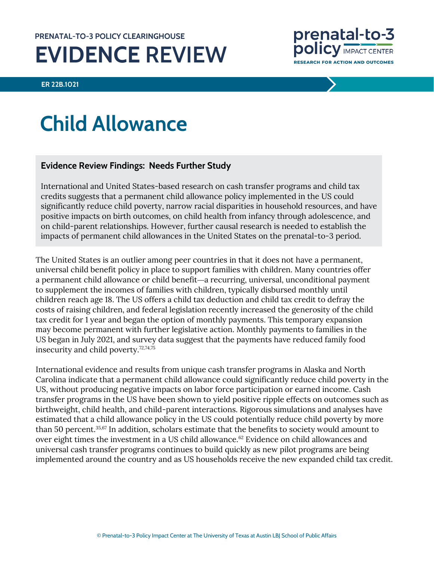## **PRENATAL-TO-3 POLICY CLEARINGHOUSE EVIDENCE REVIEW**

**ER 22B.1021**

prenatal-to-3 **POlicy IMPACT CENTER RESEARCH FOR ACTION AND OUTCOMES** 

# **Child Allowance**

## **Evidence Review Findings: Needs Further Study**

International and United States-based research on cash transfer programs and child tax credits suggests that a permanent child allowance policy implemented in the US could significantly reduce child poverty, narrow racial disparities in household resources, and have positive impacts on birth outcomes, on child health from infancy through adolescence, and on child-parent relationships. However, further causal research is needed to establish the impacts of permanent child allowances in the United States on the prenatal-to-3 period.

The United States is an outlier among peer countries in that it does not have a permanent, universal child benefit policy in place to support families with children. Many countries offer a permanent child allowance or child benefit—a recurring, universal, unconditional payment to supplement the incomes of families with children, typically disbursed monthly until children reach age 18. The US offers a child tax deduction and child tax credit to defray the costs of raising children, and federal legislation recently increased the generosity of the child tax credit for 1 year and began the option of monthly payments. This temporary expansion may become permanent with further legislative action. Monthly payments to families in the US began in July 2021, and survey data suggest that the payments have reduced family food insecurity and child poverty. [72,](#page-22-0)[74,](#page-22-1)[75](#page-23-0)

International evidence and results from unique cash transfer programs in Alaska and North Carolina indicate that a permanent child allowance could significantly reduce child poverty in the US, without producing negative impacts on labor force participation or earned income. Cash transfer programs in the US have been shown to yield positive ripple effects on outcomes such as birthweight, child health, and child-parent interactions. Rigorous simulations and analyses have estimated that a child allowance policy in the US could potentially reduce child poverty by more than 50 percent.[35,](#page-21-0)[67](#page-22-2) In addition, scholars estimate that the benefits to society would amount to over eight times the investment in a US child allowance.<sup>[62](#page-22-3)</sup> Evidence on child allowances and universal cash transfer programs continues to build quickly as new pilot programs are being implemented around the country and as US households receive the new expanded child tax credit.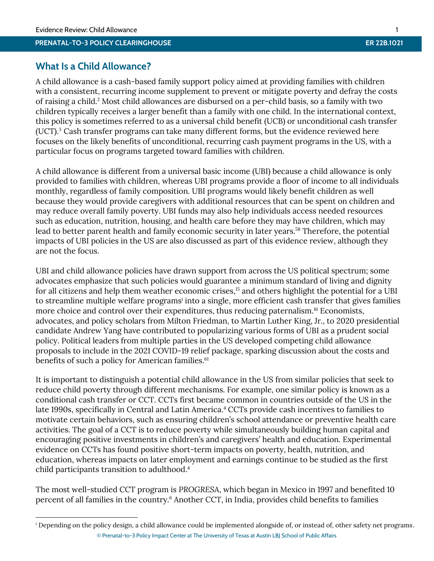#### **PRENATAL-TO-3 POLICY CLEARINGHOUSE ER 22B.1021**

## **What Is a Child Allowance?**

A child allowance is a cash-based family support policy aimed at providing families with children with a consistent, recurring income supplement to prevent or mitigate poverty and defray the costs of raising a child[.](#page-19-0)<sup>2</sup> Most child allowances are disbursed on a per-child basis, so a family with two children typically receives a larger benefit than a family with one child. In the international context, this policy is sometimes referred to as a universal child benefit (UCB) or unconditional cash transfer (UCT).[3](#page-19-1) Cash transfer programs can take many different forms, but the evidence reviewed here focuses on the likely benefits of unconditional, recurring cash payment programs in the US, with a particular focus on programs targeted toward families with children.

A child allowance is different from a universal basic income (UBI) because a child allowance is only provided to families with children, whereas UBI programs provide a floor of income to all individuals monthly, regardless of family composition. UBI programs would likely benefit children as well because they would provide caregivers with additional resources that can be spent on children and may reduce overall family poverty. UBI funds may also help individuals access needed resources such as education, nutrition, housing, and health care before they may have children, which may lead to better parent health and family economic security in later years. [58](#page-22-4) Therefore, the potential impacts of UBI policies in the US are also discussed as part of this evidence review, although they are not the focus.

UBI and child allowance policies have drawn support from across the US political spectrum; some advocates emphasize that such policies would guarantee a minimum standard of living and dignity for all citizens and help them weather economic crises, [15](#page-20-0) and others highlight the potential for a UBI to streamline multiple welfare programs<sup>i</sup> into a single, more efficient cash transfer that gives families more choice and control over their expenditures, thus reducing paternalism. [16](#page-20-1) Economists, advocates, and policy scholars from Milton Friedman, to Martin Luther King, Jr., to 2020 presidential candidate Andrew Yang have contributed to popularizing various forms of UBI as a prudent social policy. Political leaders from multiple parties in the US developed competing child allowance proposals to include in the 2021 COVID-19 relief package, sparking discussion about the costs and benefits of such a policy for American families.<sup>[61](#page-22-5)</sup>

It is important to distinguish a potential child allowance in the US from similar policies that seek to reduce child poverty through different mechanisms. For example, one similar policy is known as a conditional cash transfer or CCT. CCTs first became common in countries outside of the US in the late 1990s, specifically in Central and Latin America[.](#page-19-2) <sup>4</sup> CCTs provide cash incentives to families to motivate certain behaviors, such as ensuring children's school attendance or preventive health care activities. The goal of a CCT is to reduce poverty while simultaneously building human capital and encouraging positive investments in children's and caregivers' health and education. Experimental evidence on CCTs has found positive short-term impacts on poverty, health, nutrition, and education, whereas impacts on later employment and earnings continue to be studied as the first child participants transition to adulthood[.](#page-19-2) 4

The most well-studied CCT program is *PROGRESA*, which began in Mexico in 1997 and benefited 10 percent of all families in the countr[y.](#page-19-3)<sup>6</sup> Another CCT, in India, provides child benefits to families

<sup>©</sup> Prenatal-to-3 Policy Impact Center at The University of Texas at Austin LBJ School of Public Affairs <sup>i</sup> Depending on the policy design, a child allowance could be implemented alongside of, or instead of, other safety net programs.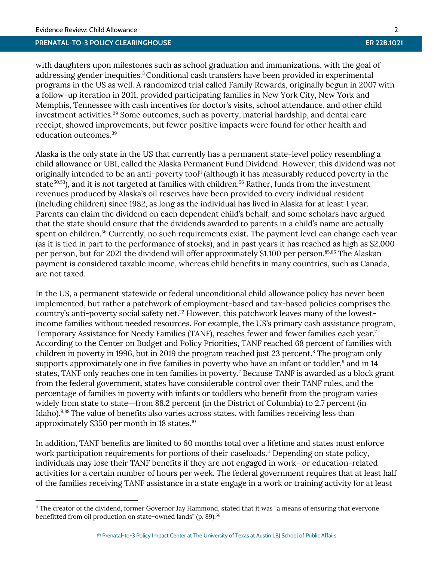#### **PRENATAL-TO-3 POLICY CLEARINGHOUSE ER 22B.1021**

with daughters upon milestones such as school graduation and immunizations, with the goal of addressing gender inequities[.](#page-19-1)<sup>3</sup>Conditional cash transfers have been provided in experimental programs in the US as well. A randomized trial called Family Rewards, originally begun in 2007 with a follow-up iteration in 2011, provided participating families in New York City, New York and Memphis, Tennessee with cash incentives for doctor's visits, school attendance, and other child investment activities.[39](#page-21-1) Some outcomes, such as poverty, material hardship, and dental care receipt, showed improvements, but fewer positive impacts were found for other health and education outcomes.[39](#page-21-1)

Alaska is the only state in the US that currently has a permanent state-level policy resembling a child allowance or UBI, called the Alaska Permanent Fund Dividend. However, this dividend was not originally intended to be an anti-poverty tool<sup>ii</sup> (although it has measurably reduced poverty in the state $^{50,53}$  $^{50,53}$  $^{50,53}$  $^{50,53}$ ), and it is not targeted at families with children. $^{56}$  $^{56}$  $^{56}$  Rather, funds from the investment revenues produced by Alaska's oil reserves have been provided to every individual resident (including children) since 1982, as long as the individual has lived in Alaska for at least 1 year. Parents can claim the dividend on each dependent child's behalf, and some scholars have argued that the state should ensure that the dividends awarded to parents in a child's name are actually spent on children.<sup>[56](#page-22-7)</sup> Currently, no such requirements exist. The payment level can change each year (as it is tied in part to the performance of stocks), and in past years it has reached as high as \$2,000 per person, but for 2021 the dividend will offer approximately \$1,100 per person.<sup>[85,85](#page-23-1)</sup> The Alaskan payment is considered taxable income, whereas child benefits in many countries, such as Canada, are not taxed.

In the US, a permanent statewide or federal unconditional child allowance policy has never been implemented, but rather a patchwork of employment-based and tax-based policies comprises the country's anti-poverty social safety net.<sup>[22](#page-20-2)</sup> However, this patchwork leaves many of the lowestincome families without needed resources. For example, the US's primary cash assistance program, Temporary Assistance for Needy Families (TANF), reaches fewer and fewer families each yea[r.](#page-19-4)<sup>7</sup> According to the Center on Budget and Policy Priorities, TANF reached 68 percent of families with children in poverty in 1996, but in 2019 the program reached just 23 percen[t.](#page-19-5)<sup>8</sup> The program only supports approximately one in five families in poverty who have an infant or toddler[,](#page-19-6) $9$  and in 14 states, TANF only reaches one in ten families in povert[y.](#page-19-4) <sup>7</sup> Because TANF is awarded as a block grant from the federal government, states have considerable control over their TANF rules, and the percentage of families in poverty with infants or toddlers who benefit from the program varies widely from state to state*—*from 88.2 percent (in the District of Columbia) to 2.7 percent (in Idaho).<sup>[9,](#page-19-6)[88](#page-23-2)</sup> The value of benefits also varies across states, with families receiving less than approximately \$350 per month in 18 states.<sup>[10](#page-19-7)</sup>

In addition, TANF benefits are limited to 60 months total over a lifetime and states must enforce work participation requirements for portions of their caseloads. [11](#page-20-3) Depending on state policy, individuals may lose their TANF benefits if they are not engaged in work- or education-related activities for a certain number of hours per week. The federal government requires that at least half of the families receiving TANF assistance in a state engage in a work or training activity for at least

ii The creator of the dividend, former Governor Jay Hammond, stated that it was "a means of ensuring that everyone benefitted from oil production on state-owned lands" (p. 89).<sup>[56](#page-22-7)</sup>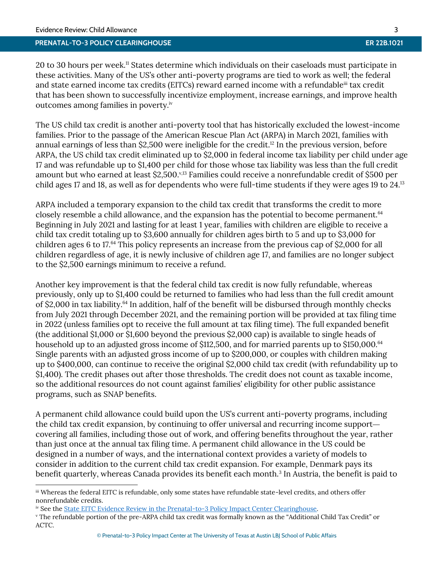#### **PRENATAL-TO-3 POLICY CLEARINGHOUSE ER 22B.1021**

20 to 30 hours per week.<sup>[11](#page-20-4)</sup> States determine which individuals on their caseloads must participate in these activities. Many of the US's other anti-poverty programs are tied to work as well; the federal and state earned income tax credits (EITCs) reward earned income with a refundable<sup>ii</sup> tax credit that has been shown to successfully incentivize employment, increase earnings, and improve health outcomes among families in poverty.<sup>iv</sup>

The US child tax credit is another anti-poverty tool that has historically excluded the lowest-income families. Prior to the passage of the American Rescue Plan Act (ARPA) in March 2021, families with annual earnings of less than \$2,500 were ineligible for the credit. [12](#page-20-5) In the previous version, before ARPA, the US child tax credit eliminated up to \$2,000 in federal income tax liability per child under age 17 and was refundable up to \$1,400 per child for those whose tax liability was less than the full credit amount but who earned at least \$2,500. $^{\rm v,13}$  $^{\rm v,13}$  $^{\rm v,13}$  Families could receive a nonrefundable credit of \$500 per child ages 17 and 18, as well as for dependents who were full-time students if they were ages 19 to 24.[13](#page-20-6)

ARPA included a temporary expansion to the child tax credit that transforms the credit to more closely resemble a child allowance, and the expansion has the potential to become permanent.<sup>[64](#page-22-8)</sup> Beginning in July 2021 and lasting for at least 1 year, families with children are eligible to receive a child tax credit totaling up to \$3,600 annually for children ages birth to 5 and up to \$3,000 for children ages 6 to 17. [64](#page-22-8) This policy represents an increase from the previous cap of \$2,000 for all children regardless of age, it is newly inclusive of children age 17, and families are no longer subject to the \$2,500 earnings minimum to receive a refund.

Another key improvement is that the federal child tax credit is now fully refundable, whereas previously, only up to \$1,400 could be returned to families who had less than the full credit amount of \$2,000 in tax liability.<sup>[64](#page-22-8)</sup> In addition, half of the benefit will be disbursed through monthly checks from July 2021 through December 2021, and the remaining portion will be provided at tax filing time in 2022 (unless families opt to receive the full amount at tax filing time). The full expanded benefit (the additional \$1,000 or \$1,600 beyond the previous \$2,000 cap) is available to single heads of household up to an adjusted gross income of \$112,500, and for married parents up to \$150,000.<sup>[64](#page-22-8)</sup> Single parents with an adjusted gross income of up to \$200,000, or couples with children making up to \$400,000, can continue to receive the original \$2,000 child tax credit (with refundability up to \$1,400). The credit phases out after those thresholds. The credit does not count as taxable income, so the additional resources do not count against families' eligibility for other public assistance programs, such as SNAP benefits.

A permanent child allowance could build upon the US's current anti-poverty programs, including the child tax credit expansion, by continuing to offer universal and recurring income support covering all families, including those out of work, and offering benefits throughout the year, rather than just once at the annual tax filing time. A permanent child allowance in the US could be designed in a number of ways, and the international context provides a variety of models to consider in addition to the current child tax credit expansion. For example, Denmark pays its benefit quarterly, whereas Canada provides its benefit each month[.](#page-19-1)<sup>3</sup> In Austria, the benefit is paid to

iii Whereas the federal EITC is refundable, only some states have refundable state-level credits, and others offer nonrefundable credits.

iv See th[e State EITC Evidence Review in the Prenatal-to-3 Policy Impact Center Clearinghouse.](https://pn3policy.org/policy-clearinghouse/state-earned-income-tax-credit/)

<sup>v</sup> The refundable portion of the pre-ARPA child tax credit was formally known as the "Additional Child Tax Credit" or ACTC.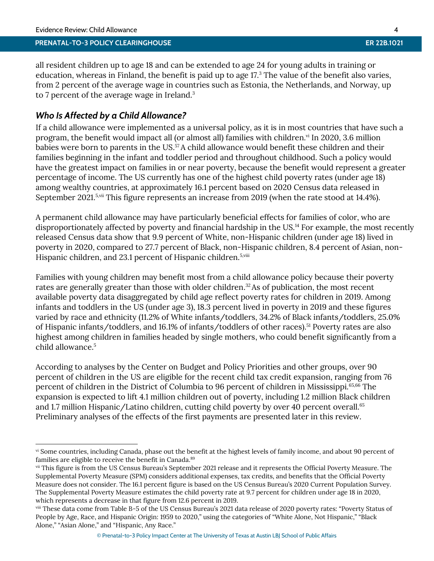## **PRENATAL-TO-3 POLICY CLEARINGHOUSE**

all resident children up to age 18 and can be extended to age 24 for young adults in training or education, whereas in Finland, the benefit is paid up to age 17[.](#page-19-1)<sup>3</sup> The value of the benefit also varies, from 2 percent of the average wage in countries such as Estonia, the Netherlands, and Norway, up to 7 percent of the average wage in Ireland[.](#page-19-1)<sup>3</sup>

## *Who Is Affected by a Child Allowance?*

If a child allowance were implemented as a universal policy, as it is in most countries that have such a program, the benefit would impact all (or almost all) families with children.<sup>vi</sup> In 2020, 3.6 million babies were born to parents in the US.<sup>[57](#page-22-9)</sup> A child allowance would benefit these children and their families beginning in the infant and toddler period and throughout childhood. Such a policy would have the greatest impact on families in or near poverty, because the benefit would represent a greater percentage of income. The US currently has one of the highest child poverty rates (under age 18) among wealthy countries, at approximately 16.1 percent based on 2020 Census data released in September 2021.<sup>[5,v](#page-19-8)ii</sup> This figure represents an increase from 2019 (when the rate stood at 14.4%).

A permanent child allowance may have particularly beneficial effects for families of color, who are disproportionately affected by poverty and financial hardship in the US.<sup>[14](#page-20-7)</sup> For example, the most recently released Census data show that 9.9 percent of White, non-Hispanic children (under age 18) lived in poverty in 2020, compared to 27.7 percent of Black, non-Hispanic children, 8.4 percent of Asian, non-Hispanic children, and 23.1 percent of Hispanic children.<sup>[5,v](#page-19-8)iii</sup>

Families with young children may benefit most from a child allowance policy because their poverty rates are generally greater than those with older children. [32](#page-20-8)As of publication, the most recent available poverty data disaggregated by child age reflect poverty rates for children in 2019. Among infants and toddlers in the US (under age 3), 18.3 percent lived in poverty in 2019 and these figures varied by race and ethnicity (11.2% of White infants/toddlers, 34.2% of Black infants/toddlers, 25.0% of Hispanic infants/toddlers, and 16.1% of infants/toddlers of other races).<sup>[51](#page-21-3)</sup> Poverty rates are also highest among children in families headed by single mothers, who could benefit significantly from a child allowance[.](#page-19-8) 5

According to analyses by the Center on Budget and Policy Priorities and other groups, over 90 percent of children in the US are eligible for the recent child tax credit expansion, ranging from 76 percent of children in the District of Columbia to 96 percent of children in Mississippi.<sup>[65,](#page-22-10)[66](#page-22-11)</sup> The expansion is expected to lift 4.1 million children out of poverty, including 1.2 million Black children and 1.7 million Hispanic/Latino children, cutting child poverty by over 40 percent overall.<sup>[65](#page-22-10)</sup> Preliminary analyses of the effects of the first payments are presented later in this review.

vi Some countries, including Canada, phase out the benefit at the highest levels of family income, and about 90 percent of families are eligible to receive the benefit in Canada.<sup>[89](#page-23-3)</sup>

vii This figure is from the US Census Bureau's September 2021 release and it represents the Official Poverty Measure. The Supplemental Poverty Measure (SPM) considers additional expenses, tax credits, and benefits that the Official Poverty Measure does not consider. The 16.1 percent figure is based on the US Census Bureau's 2020 Current Population Survey. The Supplemental Poverty Measure estimates the child poverty rate at 9.7 percent for children under age 18 in 2020, which represents a decrease in that figure from 12.6 percent in 2019.

viii These data come from Table B-5 of the US Census Bureau's 2021 data release of 2020 poverty rates: "Poverty Status of People by Age, Race, and Hispanic Origin: 1959 to 2020," using the categories of "White Alone, Not Hispanic," "Black Alone," "Asian Alone," and "Hispanic, Any Race."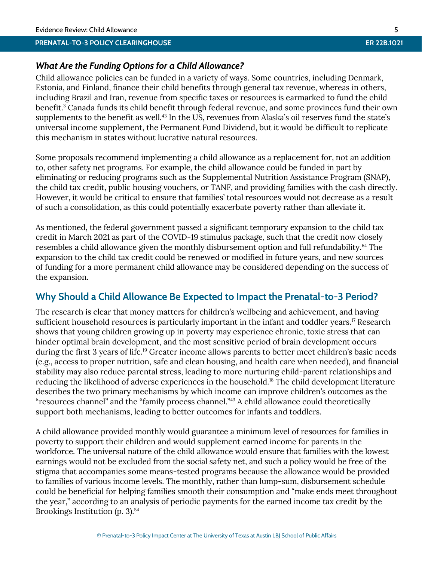## *What Are the Funding Options for a Child Allowance?*

Child allowance policies can be funded in a variety of ways. Some countries, including Denmark, Estonia, and Finland, finance their child benefits through general tax revenue, whereas in others, including Brazil and Iran, revenue from specific taxes or resources is earmarked to fund the child benefit[.](#page-19-1)<sup>3</sup> Canada funds its child benefit through federal revenue, and some provinces fund their own supplements to the benefit as well.<sup>[43](#page-21-4)</sup> In the US, revenues from Alaska's oil reserves fund the state's universal income supplement, the Permanent Fund Dividend, but it would be difficult to replicate this mechanism in states without lucrative natural resources.

Some proposals recommend implementing a child allowance as a replacement for, not an addition to, other safety net programs. For example, the child allowance could be funded in part by eliminating or reducing programs such as the Supplemental Nutrition Assistance Program (SNAP), the child tax credit, public housing vouchers, or TANF, and providing families with the cash directly. However, it would be critical to ensure that families' total resources would not decrease as a result of such a consolidation, as this could potentially exacerbate poverty rather than alleviate it.

As mentioned, the federal government passed a significant temporary expansion to the child tax credit in March 2021 as part of the COVID-19 stimulus package, such that the credit now closely resembles a child allowance given the monthly disbursement option and full refundability. [64](#page-22-8) The expansion to the child tax credit could be renewed or modified in future years, and new sources of funding for a more permanent child allowance may be considered depending on the success of the expansion.

## **Why Should a Child Allowance Be Expected to Impact the Prenatal-to-3 Period?**

The research is clear that money matters for children's wellbeing and achievement, and having sufficient household resources is particularly important in the infant and toddler years.<sup>[17](#page-20-9)</sup> Research shows that young children growing up in poverty may experience chronic, toxic stress that can hinder optimal brain development, and the most sensitive period of brain development occurs during the first 3 years of life.[19](#page-20-10) Greater income allows parents to better meet children's basic needs (e.g., access to proper nutrition, safe and clean housing, and health care when needed), and financial stability may also reduce parental stress, leading to more nurturing child-parent relationships and reducing the likelihood of adverse experiences in the household.<sup>[18](#page-20-11)</sup> The child development literature describes the two primary mechanisms by which income can improve children's outcomes as the "resources channel" and the "family process channel."[43](#page-21-4) A child allowance could theoretically support both mechanisms, leading to better outcomes for infants and toddlers.

A child allowance provided monthly would guarantee a minimum level of resources for families in poverty to support their children and would supplement earned income for parents in the workforce. The universal nature of the child allowance would ensure that families with the lowest earnings would not be excluded from the social safety net, and such a policy would be free of the stigma that accompanies some means-tested programs because the allowance would be provided to families of various income levels. The monthly, rather than lump-sum, disbursement schedule could be beneficial for helping families smooth their consumption and "make ends meet throughout the year," according to an analysis of periodic payments for the earned income tax credit by the Brookings Institution (p. 3). [54](#page-22-12)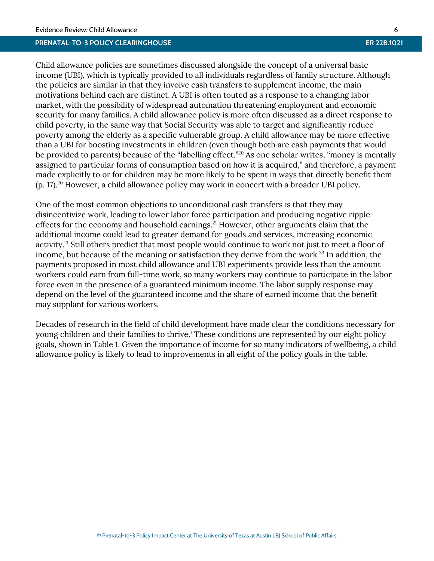Child allowance policies are sometimes discussed alongside the concept of a universal basic income (UBI), which is typically provided to all individuals regardless of family structure. Although the policies are similar in that they involve cash transfers to supplement income, the main motivations behind each are distinct. A UBI is often touted as a response to a changing labor market, with the possibility of widespread automation threatening employment and economic security for many families. A child allowance policy is more often discussed as a direct response to child poverty, in the same way that Social Security was able to target and significantly reduce poverty among the elderly as a specific vulnerable group. A child allowance may be more effective than a UBI for boosting investments in children (even though both are cash payments that would be provided to parents) because of the "labelling effect."[20](#page-20-12) As one scholar writes, "money is mentally assigned to particular forms of consumption based on how it is acquired," and therefore, a payment made explicitly to or for children may be more likely to be spent in ways that directly benefit them (p. 17). [20](#page-20-12) However, a child allowance policy may work in concert with a broader UBI policy.

One of the most common objections to unconditional cash transfers is that they may disincentivize work, leading to lower labor force participation and producing negative ripple effects for the economy and household earnings.<sup>[21](#page-20-13)</sup> However, other arguments claim that the additional income could lead to greater demand for goods and services, increasing economic activity.<sup>[21](#page-20-13)</sup> Still others predict that most people would continue to work not just to meet a floor of income, but because of the meaning or satisfaction they derive from the work.<sup>[33](#page-20-14)</sup> In addition, the payments proposed in most child allowance and UBI experiments provide less than the amount workers could earn from full-time work, so many workers may continue to participate in the labor force even in the presence of a guaranteed minimum income. The labor supply response may depend on the level of the guaranteed income and the share of earned income that the benefit may supplant for various workers.

Decades of research in the field of child development have made clear the conditions necessary for young children and their families to thrive[.](#page-19-9)<sup>1</sup> These conditions are represented by our eight policy goals, shown in Table 1. Given the importance of income for so many indicators of wellbeing, a child allowance policy is likely to lead to improvements in all eight of the policy goals in the table.

© Prenatal-to-3 Policy Impact Center at The University of Texas at Austin LBJ School of Public Affairs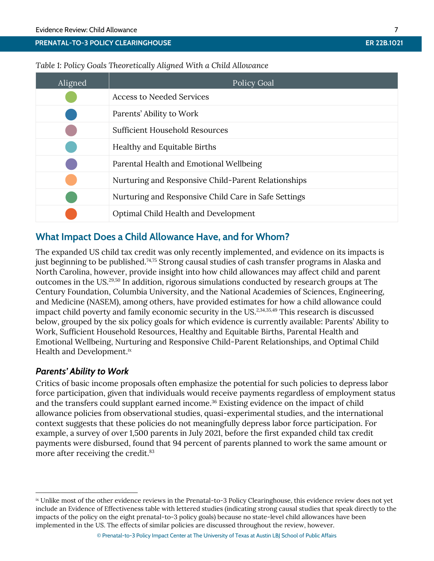## *Table 1: Policy Goals Theoretically Aligned With a Child Allowance*

| Aligned | <b>Policy Goal</b>                                   |
|---------|------------------------------------------------------|
|         | <b>Access to Needed Services</b>                     |
|         | Parents' Ability to Work                             |
|         | <b>Sufficient Household Resources</b>                |
|         | Healthy and Equitable Births                         |
|         | Parental Health and Emotional Wellbeing              |
|         | Nurturing and Responsive Child-Parent Relationships  |
|         | Nurturing and Responsive Child Care in Safe Settings |
|         | Optimal Child Health and Development                 |

## **What Impact Does a Child Allowance Have, and for Whom?**

The expanded US child tax credit was only recently implemented, and evidence on its impacts is just beginning to be published. [74,](#page-22-1)[75](#page-23-0) Strong causal studies of cash transfer programs in Alaska and North Carolina, however, provide insight into how child allowances may affect child and parent outcomes in the US. [29,](#page-20-15)[50](#page-21-2) In addition, rigorous simulations conducted by research groups at The Century Foundation, Columbia University, and the National Academies of Sciences, Engineering, and Medicine (NASEM), among others, have provided estimates for how a child allowance could impact child poverty and family economic security in the US.<sup>[2,](#page-19-10)[34,](#page-21-5)[35,](#page-21-0)[49](#page-21-6)</sup> This research is discussed below, grouped by the six policy goals for which evidence is currently available: Parents' Ability to Work, Sufficient Household Resources, Healthy and Equitable Births, Parental Health and Emotional Wellbeing, Nurturing and Responsive Child-Parent Relationships, and Optimal Child Health and Development.<sup>ix</sup>

## *Parents' Ability to Work*

 $\overline{a}$ 

Critics of basic income proposals often emphasize the potential for such policies to depress labor force participation, given that individuals would receive payments regardless of employment status and the transfers could supplant earned income. [36](#page-21-7) Existing evidence on the impact of child allowance policies from observational studies, quasi-experimental studies, and the international context suggests that these policies do not meaningfully depress labor force participation. For example, a survey of over 1,500 parents in July 2021, before the first expanded child tax credit payments were disbursed, found that 94 percent of parents planned to work the same amount or more after receiving the credit. [83](#page-23-4)

ix Unlike most of the other evidence reviews in the Prenatal-to-3 Policy Clearinghouse, this evidence review does not yet include an Evidence of Effectiveness table with lettered studies (indicating strong causal studies that speak directly to the impacts of the policy on the eight prenatal-to-3 policy goals) because no state-level child allowances have been implemented in the US. The effects of similar policies are discussed throughout the review, however.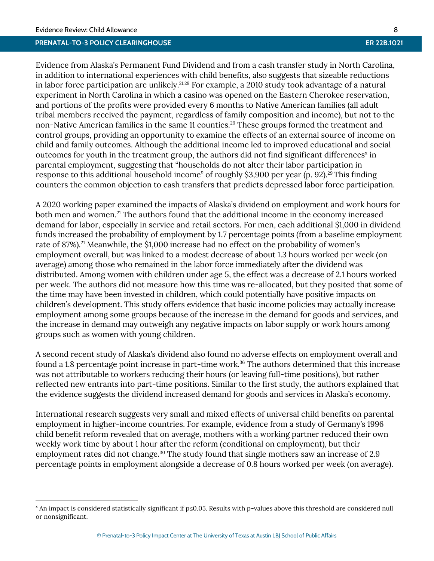#### **PRENATAL-TO-3 POLICY CLEARINGHOUSE ER 22B.1021**

Evidence from Alaska's Permanent Fund Dividend and from a cash transfer study in North Carolina, in addition to international experiences with child benefits, also suggests that sizeable reductions in labor force participation are unlikely.<sup>[21,](#page-20-13)[29](#page-20-15)</sup> For example, a 2010 study took advantage of a natural experiment in North Carolina in which a casino was opened on the Eastern Cherokee reservation, and portions of the profits were provided every 6 months to Native American families (all adult tribal members received the payment, regardless of family composition and income), but not to the non-Native American families in the same 11 counties.<sup>[29](#page-20-15)</sup> These groups formed the treatment and control groups, providing an opportunity to examine the effects of an external source of income on child and family outcomes. Although the additional income led to improved educational and social outcomes for youth in the treatment group, the authors did not find significant differences<sup>x</sup> in parental employment, suggesting that "households do not alter their labor participation in response to this additional household income" of roughly \$3,900 per year (p. 92).<sup>[29](#page-20-15)</sup> This finding counters the common objection to cash transfers that predicts depressed labor force participation.

A 2020 working paper examined the impacts of Alaska's dividend on employment and work hours for both men and women.<sup>[21](#page-20-13)</sup> The authors found that the additional income in the economy increased demand for labor, especially in service and retail sectors. For men, each additional \$1,000 in dividend funds increased the probability of employment by 1.7 percentage points (from a baseline employment rate of 87%). [21](#page-20-13) Meanwhile, the \$1,000 increase had no effect on the probability of women's employment overall, but was linked to a modest decrease of about 1.3 hours worked per week (on average) among those who remained in the labor force immediately after the dividend was distributed. Among women with children under age 5, the effect was a decrease of 2.1 hours worked per week. The authors did not measure how this time was re-allocated, but they posited that some of the time may have been invested in children, which could potentially have positive impacts on children's development. This study offers evidence that basic income policies may actually increase employment among some groups because of the increase in the demand for goods and services, and the increase in demand may outweigh any negative impacts on labor supply or work hours among groups such as women with young children.

A second recent study of Alaska's dividend also found no adverse effects on employment overall and found a 1.8 percentage point increase in part-time work.<sup>[36](#page-21-7)</sup> The authors determined that this increase was not attributable to workers reducing their hours (or leaving full-time positions), but rather reflected new entrants into part-time positions. Similar to the first study, the authors explained that the evidence suggests the dividend increased demand for goods and services in Alaska's economy.

International research suggests very small and mixed effects of universal child benefits on parental employment in higher-income countries. For example, evidence from a study of Germany's 1996 child benefit reform revealed that on average, mothers with a working partner reduced their own weekly work time by about 1 hour after the reform (conditional on employment), but their employment rates did not change.<sup>[30](#page-20-16)</sup> The study found that single mothers saw an increase of 2.9 percentage points in employment alongside a decrease of 0.8 hours worked per week (on average).

<sup>x</sup> An impact is considered statistically significant if p≤0.05. Results with p-values above this threshold are considered null or nonsignificant.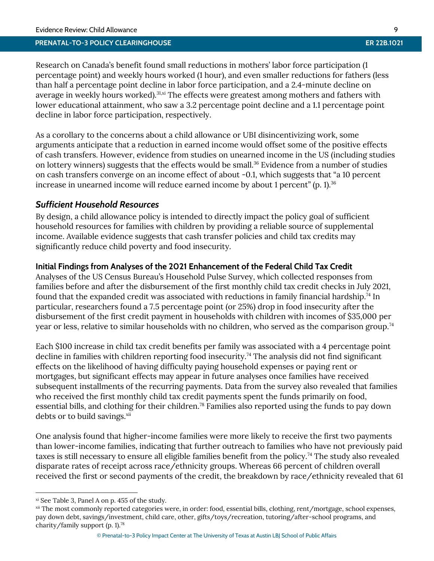Research on Canada's benefit found small reductions in mothers' labor force participation (1 percentage point) and weekly hours worked (1 hour), and even smaller reductions for fathers (less than half a percentage point decline in labor force participation, and a 2.4-minute decline on average in weekly hours worked).<sup>[31,x](#page-20-17)i</sup> The effects were greatest among mothers and fathers with lower educational attainment, who saw a 3.2 percentage point decline and a 1.1 percentage point decline in labor force participation, respectively.

As a corollary to the concerns about a child allowance or UBI disincentivizing work, some arguments anticipate that a reduction in earned income would offset some of the positive effects of cash transfers. However, evidence from studies on unearned income in the US (including studies on lottery winners) suggests that the effects would be small.<sup>[36](#page-21-7)</sup> Evidence from a number of studies on cash transfers converge on an income effect of about -0.1, which suggests that "a 10 percent increase in unearned income will reduce earned income by about 1 percent" (p. 1).<sup>36</sup>

## *Sufficient Household Resources*

By design, a child allowance policy is intended to directly impact the policy goal of sufficient household resources for families with children by providing a reliable source of supplemental income. Available evidence suggests that cash transfer policies and child tax credits may significantly reduce child poverty and food insecurity.

## **Initial Findings from Analyses of the 2021 Enhancement of the Federal Child Tax Credit**

Analyses of the US Census Bureau's Household Pulse Survey, which collected responses from families before and after the disbursement of the first monthly child tax credit checks in July 2021, found that the expanded credit was associated with reductions in family financial hardship.<sup>[74](#page-22-1)</sup> In particular, researchers found a 7.5 percentage point (or 25%) drop in food insecurity after the disbursement of the first credit payment in households with children with incomes of \$35,000 per year or less, relative to similar households with no children, who served as the comparison group.<sup>[74](#page-22-1)</sup>

Each \$100 increase in child tax credit benefits per family was associated with a 4 percentage point decline in families with children reporting food insecurity.<sup>[74](#page-22-1)</sup> The analysis did not find significant effects on the likelihood of having difficulty paying household expenses or paying rent or mortgages, but significant effects may appear in future analyses once families have received subsequent installments of the recurring payments. Data from the survey also revealed that families who received the first monthly child tax credit payments spent the funds primarily on food, essential bills, and clothing for their children.[78](#page-23-5) Families also reported using the funds to pay down debts or to build savings.<sup>xii</sup>

One analysis found that higher-income families were more likely to receive the first two payments than lower-income families, indicating that further outreach to families who have not previously paid taxes is still necessary to ensure all eligible families benefit from the policy.<sup>[74](#page-22-1)</sup> The study also revealed disparate rates of receipt across race/ethnicity groups. Whereas 66 percent of children overall received the first or second payments of the credit, the breakdown by race/ethnicity revealed that 61

 $\overline{a}$ 

xi See Table 3, Panel A on p. 455 of the study.

xii The most commonly reported categories were, in order: food, essential bills, clothing, rent/mortgage, school expenses, pay down debt, savings/investment, child care, other, gifts/toys/recreation, tutoring/after-school programs, and charity/family support (p. 1).[78](#page-23-5)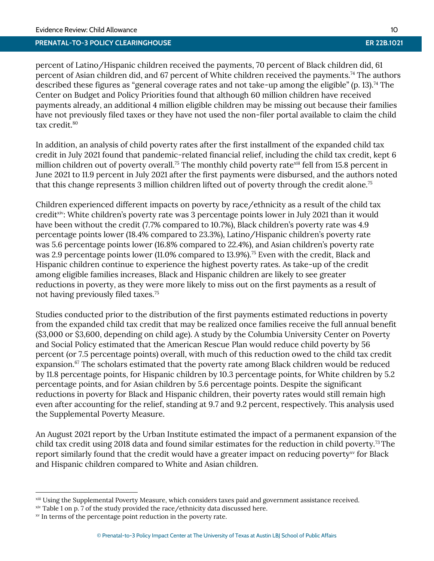percent of Latino/Hispanic children received the payments, 70 percent of Black children did, 61 percent of Asian children did, and 67 percent of White children received the payments. [74](#page-22-1) The authors described these figures as "general coverage rates and not take-up among the eligible" (p. 13).<sup>[74](#page-22-1)</sup> The Center on Budget and Policy Priorities found that although 60 million children have received payments already, an additional 4 million eligible children may be missing out because their families have not previously filed taxes or they have not used the non-filer portal available to claim the child tax credit.<sup>[80](#page-23-6)</sup>

In addition, an analysis of child poverty rates after the first installment of the expanded child tax credit in July 2021 found that pandemic-related financial relief, including the child tax credit, kept 6 million children out of poverty overall.<sup>[75](#page-23-0)</sup> The monthly child poverty rate<sup>xiii</sup> fell from 15.8 percent in June 2021 to 11.9 percent in July 2021 after the first payments were disbursed, and the authors noted that this change represents 3 million children lifted out of poverty through the credit alone.<sup>[75](#page-23-0)</sup>

Children experienced different impacts on poverty by race/ethnicity as a result of the child tax credit xiv: White children's poverty rate was 3 percentage points lower in July 2021 than it would have been without the credit (7.7% compared to 10.7%), Black children's poverty rate was 4.9 percentage points lower (18.4% compared to 23.3%), Latino/Hispanic children's poverty rate was 5.6 percentage points lower (16.8% compared to 22.4%), and Asian children's poverty rate was 2.9 percentage points lower (11.0% compared to 13.9%).<sup>[75](#page-23-0)</sup> Even with the credit, Black and Hispanic children continue to experience the highest poverty rates. As take-up of the credit among eligible families increases, Black and Hispanic children are likely to see greater reductions in poverty, as they were more likely to miss out on the first payments as a result of not having previously filed taxes.[75](#page-23-0)

Studies conducted prior to the distribution of the first payments estimated reductions in poverty from the expanded child tax credit that may be realized once families receive the full annual benefit (\$3,000 or \$3,600, depending on child age). A study by the Columbia University Center on Poverty and Social Policy estimated that the American Rescue Plan would reduce child poverty by 56 percent (or 7.5 percentage points) overall, with much of this reduction owed to the child tax credit expansion.<sup>[67](#page-22-2)</sup> The scholars estimated that the poverty rate among Black children would be reduced by 11.8 percentage points, for Hispanic children by 10.3 percentage points, for White children by 5.2 percentage points, and for Asian children by 5.6 percentage points. Despite the significant reductions in poverty for Black and Hispanic children, their poverty rates would still remain high even after accounting for the relief, standing at 9.7 and 9.2 percent, respectively. This analysis used the Supplemental Poverty Measure.

An August 2021 report by the Urban Institute estimated the impact of a permanent expansion of the child tax credit using 2018 data and found similar estimates for the reduction in child poverty.<sup>[73](#page-22-13)</sup> The report similarly found that the credit would have a greater impact on reducing poverty<sup>xy</sup> for Black and Hispanic children compared to White and Asian children.

 $\overline{a}$ 

xiii Using the Supplemental Poverty Measure, which considers taxes paid and government assistance received.

xiv Table 1 on p. 7 of the study provided the race/ethnicity data discussed here.

xv In terms of the percentage point reduction in the poverty rate.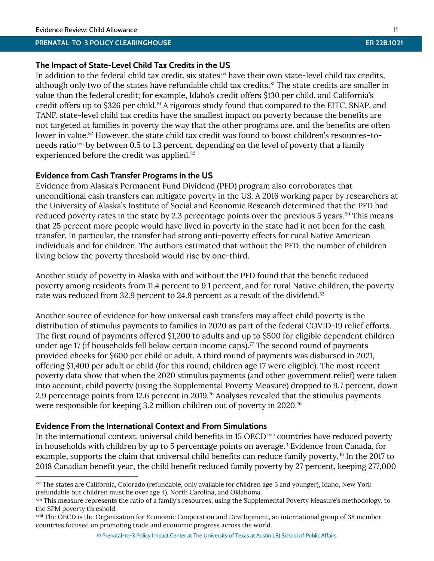## **The Impact of State-Level Child Tax Credits in the US**

In addition to the federal child tax credit, six states<sup>xvi</sup> have their own state-level child tax credits, although only two of the states have refundable child tax credits.<sup>[81](#page-23-7)</sup> The state credits are smaller in value than the federal credit; for example, Idaho's credit offers \$130 per child, and California's credit offers up to \$326 per child.<sup>[81](#page-23-7)</sup> A rigorous study found that compared to the EITC, SNAP, and TANF, state-level child tax credits have the smallest impact on poverty because the benefits are not targeted at families in poverty the way that the other programs are, and the benefits are often lower in value. [82](#page-23-8) However, the state child tax credit was found to boost children's resources-toneeds ratio<sup>xvii</sup> by between 0.5 to 1.3 percent, depending on the level of poverty that a family experienced before the credit was applied.<sup>[82](#page-23-8)</sup>

## **Evidence from Cash Transfer Programs in the US**

Evidence from Alaska's Permanent Fund Dividend (PFD) program also corroborates that unconditional cash transfers can mitigate poverty in the US. A 2016 working paper by researchers at the University of Alaska's Institute of Social and Economic Research determined that the PFD had reduced poverty rates in the state by 2.3 percentage points over the previous 5 years.<sup>[50](#page-21-2)</sup> This means that 25 percent more people would have lived in poverty in the state had it not been for the cash transfer. In particular, the transfer had strong anti-poverty effects for rural Native American individuals and for children. The authors estimated that without the PFD, the number of children living below the poverty threshold would rise by one-third.

Another study of poverty in Alaska with and without the PFD found that the benefit reduced poverty among residents from 11.4 percent to 9.1 percent, and for rural Native children, the poverty rate was reduced from 32.9 percent to 24.8 percent as a result of the dividend.<sup>[53](#page-22-6)</sup>

Another source of evidence for how universal cash transfers may affect child poverty is the distribution of stimulus payments to families in 2020 as part of the federal COVID-19 relief efforts. The first round of payments offered \$1,200 to adults and up to \$500 for eligible dependent children under age 17 (if households fell below certain income caps).<sup> $\pi$ </sup> The second round of payments provided checks for \$600 per child or adult. A third round of payments was disbursed in 2021, offering \$1,400 per adult or child (for this round, children age 17 were eligible). The most recent poverty data show that when the 2020 stimulus payments (and other government relief) were taken into account, child poverty (using the Supplemental Poverty Measure) dropped to 9.7 percent, down 2.9 percentage points from 12.6 percent in 2019.[76](#page-23-10) Analyses revealed that the stimulus payments were responsible for keeping 3.2 million children out of poverty in 2020.[76](#page-23-10)

## **Evidence From the International Context and From Simulations**

 $\overline{a}$ 

In the international context, universal child benefits in 15 OECD<sup>xviii</sup> countries have reduced poverty in households with children by up to 5 percentage points on average.<sup>[3](#page-19-1)</sup> Evidence from Canada, for example, supports the claim that universal child benefits can reduce family poverty.<sup>[46](#page-21-8)</sup> In the 2017 to 2018 Canadian benefit year, the child benefit reduced family poverty by 27 percent, keeping 277,000

xvi The states are California, Colorado (refundable, only available for children age 5 and younger), Idaho, New York (refundable but children must be over age 4), North Carolina, and Oklahoma.

xvii This measure represents the ratio of a family's resources, using the Supplemental Poverty Measure's methodology, to the SPM poverty threshold.

xviii The OECD is the Organization for Economic Cooperation and Development, an international group of 38 member countries focused on promoting trade and economic progress across the world.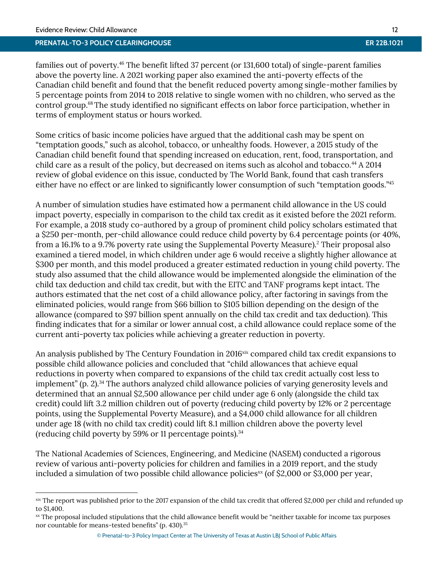#### **PRENATAL-TO-3 POLICY CLEARINGHOUSE ER 22B.1021**

families out of poverty.[46](#page-21-8) The benefit lifted 37 percent (or 131,600 total) of single-parent families above the poverty line. A 2021 working paper also examined the anti-poverty effects of the Canadian child benefit and found that the benefit reduced poverty among single-mother families by 5 percentage points from 2014 to 2018 relative to single women with no children, who served as the control group. [68](#page-22-14)The study identified no significant effects on labor force participation, whether in terms of employment status or hours worked.

Some critics of basic income policies have argued that the additional cash may be spent on "temptation goods," such as alcohol, tobacco, or unhealthy foods. However, a 2015 study of the Canadian child benefit found that spending increased on education, rent, food, transportation, and child care as a result of the policy, but decreased on items such as alcohol and tobacco.<sup>[44](#page-21-9)</sup> A 2014 review of global evidence on this issue, conducted by The World Bank, found that cash transfers either have no effect or are linked to significantly lower consumption of such "temptation goods."[45](#page-21-10) 

A number of simulation studies have estimated how a permanent child allowance in the US could impact poverty, especially in comparison to the child tax credit as it existed before the 2021 reform. For example, a 2018 study co-authored by a group of prominent child policy scholars estimated that a \$250 per-month, per-child allowance could reduce child poverty by 6.4 percentage points (or 40%, from a 16.1% to a 9.7% poverty rate using the Supplemental Poverty Measure[\).](#page-19-10)<sup>2</sup> Their proposal also examined a tiered model, in which children under age 6 would receive a slightly higher allowance at \$300 per month, and this model produced a greater estimated reduction in young child poverty. The study also assumed that the child allowance would be implemented alongside the elimination of the child tax deduction and child tax credit, but with the EITC and TANF programs kept intact. The authors estimated that the net cost of a child allowance policy, after factoring in savings from the eliminated policies, would range from \$66 billion to \$105 billion depending on the design of the allowance (compared to \$97 billion spent annually on the child tax credit and tax deduction). This finding indicates that for a similar or lower annual cost, a child allowance could replace some of the current anti-poverty tax policies while achieving a greater reduction in poverty.

An analysis published by The Century Foundation in 2016<sup>xix</sup> compared child tax credit expansions to possible child allowance policies and concluded that "child allowances that achieve equal reductions in poverty when compared to expansions of the child tax credit actually cost less to implement" (p. 2).<sup>[34](#page-21-5)</sup> The authors analyzed child allowance policies of varying generosity levels and determined that an annual \$2,500 allowance per child under age 6 only (alongside the child tax credit) could lift 3.2 million children out of poverty (reducing child poverty by 12% or 2 percentage points, using the Supplemental Poverty Measure), and a \$4,000 child allowance for all children under age 18 (with no child tax credit) could lift 8.1 million children above the poverty level (reducing child poverty by 59% or 11 percentage points).[34](#page-21-5)

The National Academies of Sciences, Engineering, and Medicine (NASEM) conducted a rigorous review of various anti-poverty policies for children and families in a 2019 report, and the study included a simulation of two possible child allowance policies<sup>xx</sup> (of \$2,000 or \$3,000 per year,

xix The report was published prior to the 2017 expansion of the child tax credit that offered \$2,000 per child and refunded up to \$1,400.

xx The proposal included stipulations that the child allowance benefit would be "neither taxable for income tax purposes nor countable for means-tested benefits" (p. 430).<sup>[35](#page-21-0)</sup>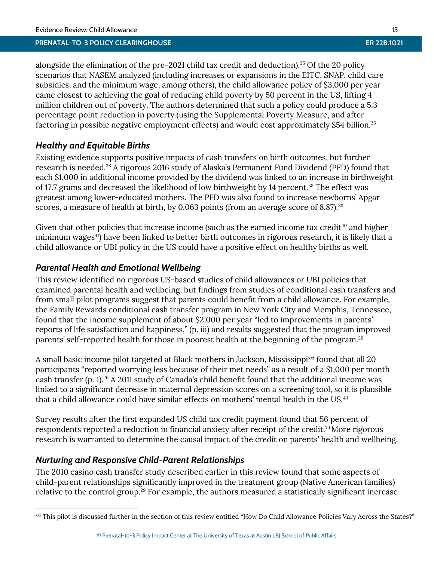alongside the elimination of the pre-2021 child tax credit and deduction).<sup>[35](#page-21-0)</sup> Of the 20 policy scenarios that NASEM analyzed (including increases or expansions in the EITC, SNAP, child care subsidies, and the minimum wage, among others), the child allowance policy of \$3,000 per year came closest to achieving the goal of reducing child poverty by 50 percent in the US, lifting 4 million children out of poverty. The authors determined that such a policy could produce a 5.3 percentage point reduction in poverty (using the Supplemental Poverty Measure, and after factoring in possible negative employment effects) and would cost approximately \$54 billion.<sup>[35](#page-21-0)</sup>

## *Healthy and Equitable Births*

Existing evidence supports positive impacts of cash transfers on birth outcomes, but further research is needed. [38](#page-21-11) A rigorous 2016 study of Alaska's Permanent Fund Dividend (PFD) found that each \$1,000 in additional income provided by the dividend was linked to an increase in birthweight of 17.7 grams and decreased the likelihood of low birthweight by 14 percent.<sup>[38](#page-21-11)</sup> The effect was greatest among lower-educated mothers. The PFD was also found to increase newborns' Apgar scores, a measure of health at birth, by 0.063 points (from an average score of 8.87).<sup>[38](#page-21-11)</sup>

Given that other policies that increase income (such as the earned income tax credit $40$  and higher minimum wages<sup>[41](#page-21-13)</sup>) have been linked to better birth outcomes in rigorous research, it is likely that a child allowance or UBI policy in the US could have a positive effect on healthy births as well.

## *Parental Health and Emotional Wellbeing*

This review identified no rigorous US-based studies of child allowances or UBI policies that examined parental health and wellbeing, but findings from studies of conditional cash transfers and from small pilot programs suggest that parents could benefit from a child allowance. For example, the Family Rewards conditional cash transfer program in New York City and Memphis, Tennessee, found that the income supplement of about \$2,000 per year "led to improvements in parents' reports of life satisfaction and happiness," (p. iii) and results suggested that the program improved parents' self-reported health for those in poorest health at the beginning of the program. [39](#page-21-1)

A small basic income pilot targeted at Black mothers in Jackson, Mississippixxi found that all 20 participants "reported worrying less because of their met needs" as a result of a \$1,000 per month cash transfer (p. 1). [26](#page-20-18) A 2011 study of Canada's child benefit found that the additional income was linked to a significant decrease in maternal depression scores on a screening tool, so it is plausible that a child allowance could have similar effects on mothers' mental health in the US.[43](#page-21-4)

Survey results after the first expanded US child tax credit payment found that 56 percent of respondents reported a reduction in financial anxiety after receipt of the credit.[79](#page-23-11)More rigorous research is warranted to determine the causal impact of the credit on parents' health and wellbeing.

## *Nurturing and Responsive Child-Parent Relationships*

 $\overline{a}$ 

The 2010 casino cash transfer study described earlier in this review found that some aspects of child-parent relationships significantly improved in the treatment group (Native American families) relative to the control group.[29](#page-20-15) For example, the authors measured a statistically significant increase

xxi This pilot is discussed further in the section of this review entitled "How Do Child Allowance Policies Vary Across the States?"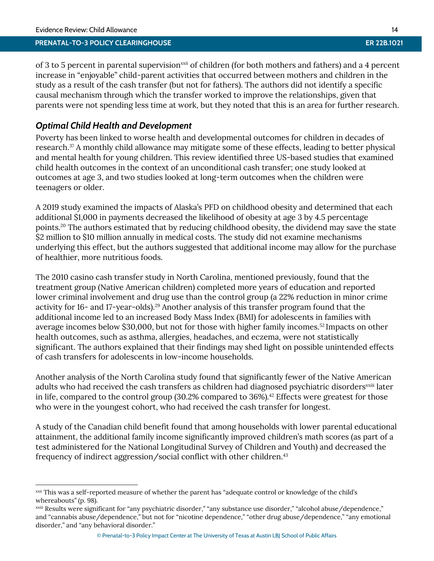## **PRENATAL-TO-3 POLICY CLEARINGHOUSE ER 22B.1021**

of 3 to 5 percent in parental supervision<sup>xxii</sup> of children (for both mothers and fathers) and a 4 percent increase in "enjoyable" child-parent activities that occurred between mothers and children in the study as a result of the cash transfer (but not for fathers). The authors did not identify a specific causal mechanism through which the transfer worked to improve the relationships, given that parents were not spending less time at work, but they noted that this is an area for further research.

## *Optimal Child Health and Development*

Poverty has been linked to worse health and developmental outcomes for children in decades of research. [37](#page-21-14) A monthly child allowance may mitigate some of these effects, leading to better physical and mental health for young children. This review identified three US-based studies that examined child health outcomes in the context of an unconditional cash transfer; one study looked at outcomes at age 3, and two studies looked at long-term outcomes when the children were teenagers or older.

A 2019 study examined the impacts of Alaska's PFD on childhood obesity and determined that each additional \$1,000 in payments decreased the likelihood of obesity at age 3 by 4.5 percentage points. [20](#page-20-12) The authors estimated that by reducing childhood obesity, the dividend may save the state \$2 million to \$10 million annually in medical costs. The study did not examine mechanisms underlying this effect, but the authors suggested that additional income may allow for the purchase of healthier, more nutritious foods.

The 2010 casino cash transfer study in North Carolina, mentioned previously, found that the treatment group (Native American children) completed more years of education and reported lower criminal involvement and drug use than the control group (a 22% reduction in minor crime activity for 16- and 17-year-olds). [29](#page-20-15) Another analysis of this transfer program found that the additional income led to an increased Body Mass Index (BMI) for adolescents in families with average incomes below \$30,000, but not for those with higher family incomes.[52](#page-21-15) Impacts on other health outcomes, such as asthma, allergies, headaches, and eczema, were not statistically significant. The authors explained that their findings may shed light on possible unintended effects of cash transfers for adolescents in low-income households.

Another analysis of the North Carolina study found that significantly fewer of the Native American adults who had received the cash transfers as children had diagnosed psychiatric disorders<sup>xxiii</sup> later in life, compared to the control group (30.2% compared to 36%).<sup>[42](#page-21-16)</sup> Effects were greatest for those who were in the youngest cohort, who had received the cash transfer for longest.

A study of the Canadian child benefit found that among households with lower parental educational attainment, the additional family income significantly improved children's math scores (as part of a test administered for the National Longitudinal Survey of Children and Youth) and decreased the frequency of indirect aggression/social conflict with other children.<sup>[43](#page-21-4)</sup>

xxii This was a self-reported measure of whether the parent has "adequate control or knowledge of the child's whereabouts" (p. 98).

xxiii Results were significant for "any psychiatric disorder," "any substance use disorder," "alcohol abuse/dependence," and "cannabis abuse/dependence," but not for "nicotine dependence," "other drug abuse/dependence," "any emotional disorder," and "any behavioral disorder."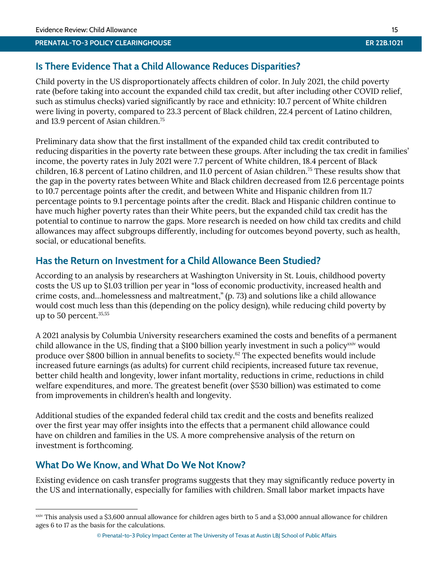## **Is There Evidence That a Child Allowance Reduces Disparities?**

Child poverty in the US disproportionately affects children of color. In July 2021, the child poverty rate (before taking into account the expanded child tax credit, but after including other COVID relief, such as stimulus checks) varied significantly by race and ethnicity: 10.7 percent of White children were living in poverty, compared to 23.3 percent of Black children, 22.4 percent of Latino children, and 13.9 percent of Asian children.[75](#page-23-0)

Preliminary data show that the first installment of the expanded child tax credit contributed to reducing disparities in the poverty rate between these groups. After including the tax credit in families' income, the poverty rates in July 2021 were 7.7 percent of White children, 18.4 percent of Black children, 16.8 percent of Latino children, and 11.0 percent of Asian children.<sup>[75](#page-23-0)</sup> These results show that the gap in the poverty rates between White and Black children decreased from 12.6 percentage points to 10.7 percentage points after the credit, and between White and Hispanic children from 11.7 percentage points to 9.1 percentage points after the credit. Black and Hispanic children continue to have much higher poverty rates than their White peers, but the expanded child tax credit has the potential to continue to narrow the gaps. More research is needed on how child tax credits and child allowances may affect subgroups differently, including for outcomes beyond poverty, such as health, social, or educational benefits.

## **Has the Return on Investment for a Child Allowance Been Studied?**

According to an analysis by researchers at Washington University in St. Louis, childhood poverty costs the US up to \$1.03 trillion per year in "loss of economic productivity, increased health and crime costs, and…homelessness and maltreatment," (p. 73) and solutions like a child allowance would cost much less than this (depending on the policy design), while reducing child poverty by up to 50 percent. $35,55$  $35,55$ 

A 2021 analysis by Columbia University researchers examined the costs and benefits of a permanent child allowance in the US, finding that a \$100 billion yearly investment in such a policy<sup>xxiv</sup> would produce over \$800 billion in annual benefits to society.[62](#page-22-3) The expected benefits would include increased future earnings (as adults) for current child recipients, increased future tax revenue, better child health and longevity, lower infant mortality, reductions in crime, reductions in child welfare expenditures, and more. The greatest benefit (over \$530 billion) was estimated to come from improvements in children's health and longevity.

Additional studies of the expanded federal child tax credit and the costs and benefits realized over the first year may offer insights into the effects that a permanent child allowance could have on children and families in the US. A more comprehensive analysis of the return on investment is forthcoming.

## **What Do We Know, and What Do We Not Know?**

 $\overline{a}$ 

Existing evidence on cash transfer programs suggests that they may significantly reduce poverty in the US and internationally, especially for families with children. Small labor market impacts have

xxiv This analysis used a \$3,600 annual allowance for children ages birth to 5 and a \$3,000 annual allowance for children ages 6 to 17 as the basis for the calculations.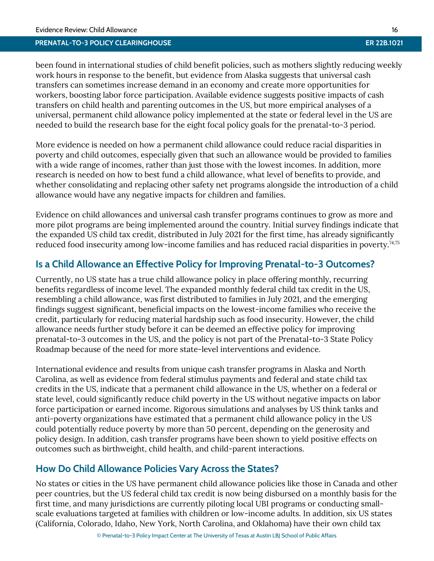been found in international studies of child benefit policies, such as mothers slightly reducing weekly work hours in response to the benefit, but evidence from Alaska suggests that universal cash transfers can sometimes increase demand in an economy and create more opportunities for workers, boosting labor force participation. Available evidence suggests positive impacts of cash transfers on child health and parenting outcomes in the US, but more empirical analyses of a universal, permanent child allowance policy implemented at the state or federal level in the US are needed to build the research base for the eight focal policy goals for the prenatal-to-3 period.

More evidence is needed on how a permanent child allowance could reduce racial disparities in poverty and child outcomes, especially given that such an allowance would be provided to families with a wide range of incomes, rather than just those with the lowest incomes. In addition, more research is needed on how to best fund a child allowance, what level of benefits to provide, and whether consolidating and replacing other safety net programs alongside the introduction of a child allowance would have any negative impacts for children and families.

Evidence on child allowances and universal cash transfer programs continues to grow as more and more pilot programs are being implemented around the country. Initial survey findings indicate that the expanded US child tax credit, distributed in July 2021 for the first time, has already significantly reduced food insecurity among low-income families and has reduced racial disparities in poverty. [74,](#page-22-1)[75](#page-23-0)

## **Is a Child Allowance an Effective Policy for Improving Prenatal-to-3 Outcomes?**

Currently, no US state has a true child allowance policy in place offering monthly, recurring benefits regardless of income level. The expanded monthly federal child tax credit in the US, resembling a child allowance, was first distributed to families in July 2021, and the emerging findings suggest significant, beneficial impacts on the lowest-income families who receive the credit, particularly for reducing material hardship such as food insecurity. However, the child allowance needs further study before it can be deemed an effective policy for improving prenatal-to-3 outcomes in the US, and the policy is not part of the Prenatal-to-3 State Policy Roadmap because of the need for more state-level interventions and evidence.

International evidence and results from unique cash transfer programs in Alaska and North Carolina, as well as evidence from federal stimulus payments and federal and state child tax credits in the US, indicate that a permanent child allowance in the US, whether on a federal or state level, could significantly reduce child poverty in the US without negative impacts on labor force participation or earned income. Rigorous simulations and analyses by US think tanks and anti-poverty organizations have estimated that a permanent child allowance policy in the US could potentially reduce poverty by more than 50 percent, depending on the generosity and policy design. In addition, cash transfer programs have been shown to yield positive effects on outcomes such as birthweight, child health, and child-parent interactions.

## **How Do Child Allowance Policies Vary Across the States?**

No states or cities in the US have permanent child allowance policies like those in Canada and other peer countries, but the US federal child tax credit is now being disbursed on a monthly basis for the first time, and many jurisdictions are currently piloting local UBI programs or conducting smallscale evaluations targeted at families with children or low-income adults. In addition, six US states (California, Colorado, Idaho, New York, North Carolina, and Oklahoma) have their own child tax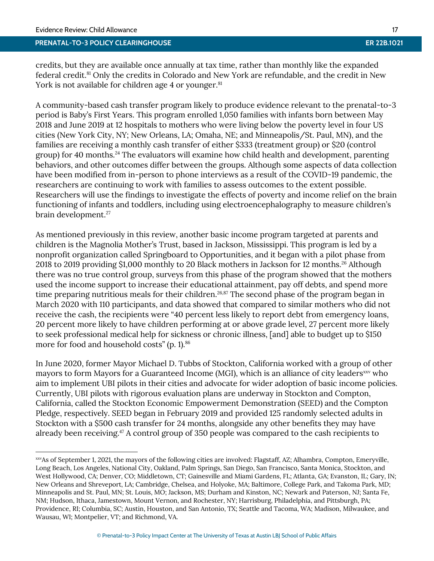#### **PRENATAL-TO-3 POLICY CLEARINGHOUSE ER 22B.1021**

credits, but they are available once annually at tax time, rather than monthly like the expanded federal credit. [81](#page-23-7) Only the credits in Colorado and New York are refundable, and the credit in New York is not available for children age 4 or younger.<sup>[81](#page-23-7)</sup>

A community-based cash transfer program likely to produce evidence relevant to the prenatal-to-3 period is Baby's First Years. This program enrolled 1,050 families with infants born between May 2018 and June 2019 at 12 hospitals to mothers who were living below the poverty level in four US cities (New York City, NY; New Orleans, LA; Omaha, NE; and Minneapolis/St. Paul, MN), and the families are receiving a monthly cash transfer of either \$333 (treatment group) or \$20 (control group) for 40 months.[24](#page-20-19) The evaluators will examine how child health and development, parenting behaviors, and other outcomes differ between the groups. Although some aspects of data collection have been modified from in-person to phone interviews as a result of the COVID-19 pandemic, the researchers are continuing to work with families to assess outcomes to the extent possible. Researchers will use the findings to investigate the effects of poverty and income relief on the brain functioning of infants and toddlers, including using electroencephalography to measure children's brain development.<sup>[27](#page-20-20)</sup>

As mentioned previously in this review, another basic income program targeted at parents and children is the Magnolia Mother's Trust, based in Jackson, Mississippi. This program is led by a nonprofit organization called Springboard to Opportunities, and it began with a pilot phase from 2018 to 2019 providing \$1,000 monthly to 20 Black mothers in Jackson for 12 months.<sup>[26](#page-20-18)</sup> Although there was no true control group, surveys from this phase of the program showed that the mothers used the income support to increase their educational attainment, pay off debts, and spend more time preparing nutritious meals for their children.<sup>[26,](#page-20-18)[87](#page-23-12)</sup> The second phase of the program began in March 2020 with 110 participants, and data showed that compared to similar mothers who did not receive the cash, the recipients were "40 percent less likely to report debt from emergency loans, 20 percent more likely to have children performing at or above grade level, 27 percent more likely to seek professional medical help for sickness or chronic illness, [and] able to budget up to \$150 more for food and household costs" (p. 1).<sup>[86](#page-23-13)</sup>

In June 2020, former Mayor Michael D. Tubbs of Stockton, California worked with a group of other mayors to form Mayors for a Guaranteed Income (MGI), which is an alliance of city leaders<sup>xxv</sup> who aim to implement UBI pilots in their cities and advocate for wider adoption of basic income policies. Currently, UBI pilots with rigorous evaluation plans are underway in Stockton and Compton, California, called the Stockton Economic Empowerment Demonstration (SEED) and the Compton Pledge, respectively. SEED began in February 2019 and provided 125 randomly selected adults in Stockton with a \$500 cash transfer for 24 months, alongside any other benefits they may have already been receiving.<sup>[47](#page-21-17)</sup> A control group of 350 people was compared to the cash recipients to

xxvAs of September 1, 2021, the mayors of the following cities are involved: Flagstaff, AZ; Alhambra, Compton, Emeryville, Long Beach, Los Angeles, National City, Oakland, Palm Springs, San Diego, San Francisco, Santa Monica, Stockton, and West Hollywood, CA; Denver, CO; Middletown, CT; Gainesville and Miami Gardens, FL; Atlanta, GA; Evanston, IL; Gary, IN; New Orleans and Shreveport, LA; Cambridge, Chelsea, and Holyoke, MA; Baltimore, College Park, and Takoma Park, MD; Minneapolis and St. Paul, MN; St. Louis, MO; Jackson, MS; Durham and Kinston, NC; Newark and Paterson, NJ; Santa Fe, NM; Hudson, Ithaca, Jamestown, Mount Vernon, and Rochester, NY; Harrisburg, Philadelphia, and Pittsburgh, PA; Providence, RI; Columbia, SC; Austin, Houston, and San Antonio, TX; Seattle and Tacoma, WA; Madison, Milwaukee, and Wausau, WI; Montpelier, VT; and Richmond, VA.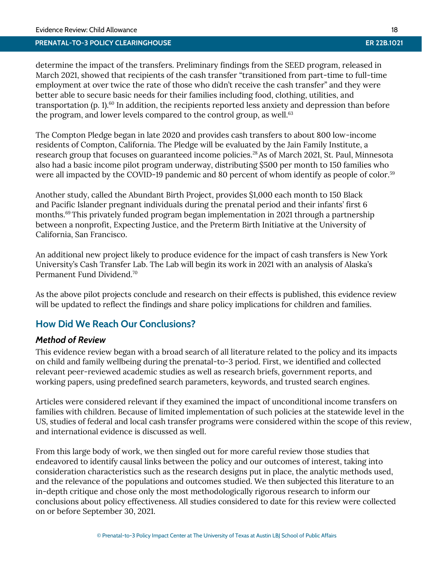determine the impact of the transfers. Preliminary findings from the SEED program, released in March 2021, showed that recipients of the cash transfer "transitioned from part-time to full-time employment at over twice the rate of those who didn't receive the cash transfer" and they were better able to secure basic needs for their families including food, clothing, utilities, and transportation (p. 1). [60](#page-22-16) In addition, the recipients reported less anxiety and depression than before the program, and lower levels compared to the control group, as well.<sup>[63](#page-22-17)</sup>

The Compton Pledge began in late 2020 and provides cash transfers to about 800 low-income residents of Compton, California. The Pledge will be evaluated by the Jain Family Institute, a research group that focuses on guaranteed income policies.<sup>[28](#page-20-21)</sup> As of March 2021, St. Paul, Minnesota also had a basic income pilot program underway, distributing \$500 per month to 150 families who were all impacted by the COVID-19 pandemic and 80 percent of whom identify as people of color.<sup>[59](#page-22-18)</sup>

Another study, called the Abundant Birth Project, provides \$1,000 each month to 150 Black and Pacific Islander pregnant individuals during the prenatal period and their infants' first 6 months.<sup>[69](#page-22-19)</sup>This privately funded program began implementation in 2021 through a partnership between a nonprofit, Expecting Justice, and the Preterm Birth Initiative at the University of California, San Francisco.

An additional new project likely to produce evidence for the impact of cash transfers is New York University's Cash Transfer Lab. The Lab will begin its work in 2021 with an analysis of Alaska's Permanent Fund Dividend.[70](#page-22-20)

As the above pilot projects conclude and research on their effects is published, this evidence review will be updated to reflect the findings and share policy implications for children and families.

## **How Did We Reach Our Conclusions?**

## *Method of Review*

This evidence review began with a broad search of all literature related to the policy and its impacts on child and family wellbeing during the prenatal-to-3 period. First, we identified and collected relevant peer-reviewed academic studies as well as research briefs, government reports, and working papers, using predefined search parameters, keywords, and trusted search engines.

Articles were considered relevant if they examined the impact of unconditional income transfers on families with children. Because of limited implementation of such policies at the statewide level in the US, studies of federal and local cash transfer programs were considered within the scope of this review, and international evidence is discussed as well.

From this large body of work, we then singled out for more careful review those studies that endeavored to identify causal links between the policy and our outcomes of interest, taking into consideration characteristics such as the research designs put in place, the analytic methods used, and the relevance of the populations and outcomes studied. We then subjected this literature to an in-depth critique and chose only the most methodologically rigorous research to inform our conclusions about policy effectiveness. All studies considered to date for this review were collected on or before September 30, 2021.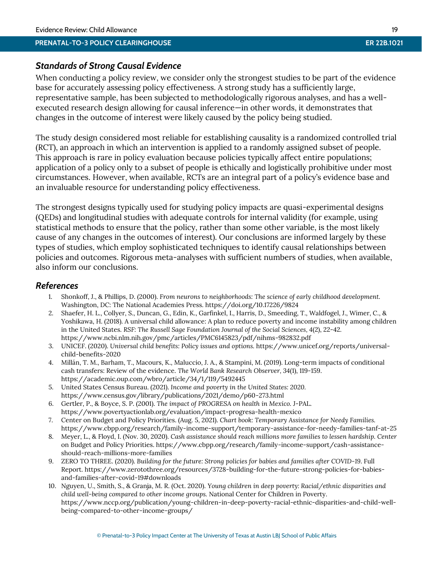## *Standards of Strong Causal Evidence*

When conducting a policy review, we consider only the strongest studies to be part of the evidence base for accurately assessing policy effectiveness. A strong study has a sufficiently large, representative sample, has been subjected to methodologically rigorous analyses, and has a wellexecuted research design allowing for causal inference—in other words, it demonstrates that changes in the outcome of interest were likely caused by the policy being studied.

The study design considered most reliable for establishing causality is a randomized controlled trial (RCT), an approach in which an intervention is applied to a randomly assigned subset of people. This approach is rare in policy evaluation because policies typically affect entire populations; application of a policy only to a subset of people is ethically and logistically prohibitive under most circumstances. However, when available, RCTs are an integral part of a policy's evidence base and an invaluable resource for understanding policy effectiveness.

The strongest designs typically used for studying policy impacts are quasi-experimental designs (QEDs) and longitudinal studies with adequate controls for internal validity (for example, using statistical methods to ensure that the policy, rather than some other variable, is the most likely cause of any changes in the outcomes of interest). Our conclusions are informed largely by these types of studies, which employ sophisticated techniques to identify causal relationships between policies and outcomes. Rigorous meta-analyses with sufficient numbers of studies, when available, also inform our conclusions.

## <span id="page-19-9"></span>*References*

- 1. Shonkoff, J., & Phillips, D. (2000). *From neurons to neighborhoods: The science of early childhood development.* Washington, DC: The National Academies Press. https://doi.org/10.17226/9824
- <span id="page-19-10"></span><span id="page-19-0"></span>2. Shaefer, H. L., Collyer, S., Duncan, G., Edin, K., Garfinkel, I., Harris, D., Smeeding, T., Waldfogel, J., Wimer, C., & Yoshikawa, H. (2018). A universal child allowance: A plan to reduce poverty and income instability among children in the United States. *RSF: The Russell Sage Foundation Journal of the Social Sciences, 4*(2), 22-42*.*  https://www.ncbi.nlm.nih.gov/pmc/articles/PMC6145823/pdf/nihms-982832.pdf
- <span id="page-19-1"></span>3. UNICEF. (2020). *Universal child benefits: Policy issues and options.* https://www.unicef.org/reports/universalchild-benefits-2020
- <span id="page-19-2"></span>4. Millán, T. M., Barham, T., Macours, K., Maluccio, J. A., & Stampini, M. (2019). Long-term impacts of conditional cash transfers: Review of the evidence. *The World Bank Research Observer, 34*(1), 119-159. https://academic.oup.com/wbro/article/34/1/119/5492445
- <span id="page-19-8"></span>5. United States Census Bureau. (2021). *Income and poverty in the United States: 2020.*  https://www.census.gov/library/publications/2021/demo/p60-273.html
- <span id="page-19-3"></span>6. Gertler, P., & Boyce, S. P. (2001). *The impact of PROGRESA on health in Mexico.* J-PAL. https://www.povertyactionlab.org/evaluation/impact-progresa-health-mexico
- <span id="page-19-4"></span>7. Center on Budget and Policy Priorities. (Aug. 5, 2021). *Chart book: Temporary Assistance for Needy Families.*  https://www.cbpp.org/research/family-income-support/temporary-assistance-for-needy-families-tanf-at-25
- <span id="page-19-5"></span>8. Meyer, L., & Floyd, I. (Nov. 30, 2020). *Cash assistance should reach millions more families to lessen hardship. Center*  on Budget and Policy Priorities. https://www.cbpp.org/research/family-income-support/cash-assistanceshould-reach-millions-more-families
- <span id="page-19-6"></span>9. ZERO TO THREE. (2020). *Building for the future: Strong policies for babies and families after COVID-19.* Full Report. https://www.zerotothree.org/resources/3728-building-for-the-future-strong-policies-for-babiesand-families-after-covid-19#downloads
- <span id="page-19-7"></span>10. Nguyen, U., Smith, S., & Granja, M. R. (Oct. 2020). *Young children in deep poverty: Racial/ethnic disparities and child well-being compared to other income groups.* National Center for Children in Poverty. https://www.nccp.org/publication/young-children-in-deep-poverty-racial-ethnic-disparities-and-child-wellbeing-compared-to-other-income-groups/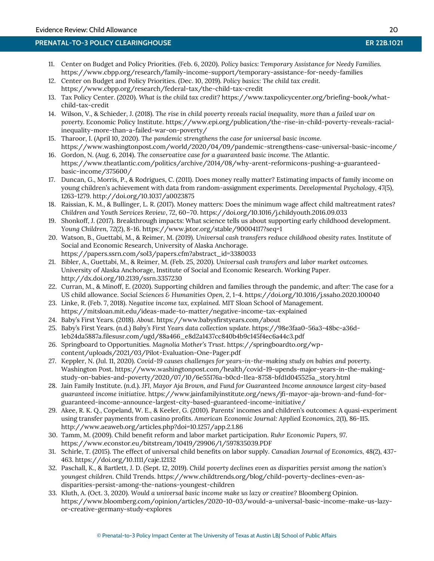- <span id="page-20-4"></span><span id="page-20-3"></span>11. Center on Budget and Policy Priorities. (Feb. 6, 2020). *Policy basics: Temporary Assistance for Needy Families.*  https://www.cbpp.org/research/family-income-support/temporary-assistance-for-needy-families
- <span id="page-20-5"></span>12. Center on Budget and Policy Priorities. (Dec. 10, 2019). *Policy basics: The child tax credit.*  https://www.cbpp.org/research/federal-tax/the-child-tax-credit
- <span id="page-20-6"></span>13. Tax Policy Center. (2020). *What is the child tax credit?* https://www.taxpolicycenter.org/briefing-book/whatchild-tax-credit
- <span id="page-20-7"></span>14. Wilson, V., & Schieder, J. (2018). *The rise in child poverty reveals racial inequality, more than a failed war on poverty.* Economic Policy Institute. https://www.epi.org/publication/the-rise-in-child-poverty-reveals-racialinequality-more-than-a-failed-war-on-poverty/
- <span id="page-20-0"></span>15. Tharoor, I. (April 10, 2020). *The pandemic strengthens the case for universal basic income.* https://www.washingtonpost.com/world/2020/04/09/pandemic-strengthens-case-universal-basic-income/
- <span id="page-20-1"></span>16. Gordon, N. (Aug. 6, 2014). *The conservative case for a guaranteed basic income.* The Atlantic. https://www.theatlantic.com/politics/archive/2014/08/why-arent-reformicons-pushing-a-guaranteedbasic-income/375600/
- <span id="page-20-9"></span>17. Duncan, G., Morris, P., & Rodrigues, C. (2011). Does money really matter? Estimating impacts of family income on young children's achievement with data from random-assignment experiments. *Developmental Psychology, 47*(5), 1263-1279. http://doi.org/10.1037/a0023875
- <span id="page-20-11"></span>18. Raissian, K. M., & Bullinger, L. R. (2017). Money matters: Does the minimum wage affect child maltreatment rates? *Children and Youth Services Review*, *72*, 60–70. https://doi.org/10.1016/j.childyouth.2016.09.033
- <span id="page-20-10"></span>19. Shonkoff, J. (2017). Breakthrough impacts: What science tells us about supporting early childhood development. *Young Children, 72*(2), 8-16. https://www.jstor.org/stable/90004117?seq=1
- <span id="page-20-12"></span>20. Watson, B., Guettabi, M., & Reimer, M. (2019). *Universal cash transfers reduce childhood obesity rates.* Institute of Social and Economic Research, University of Alaska Anchorage. https://papers.ssrn.com/sol3/papers.cfm?abstract\_id=3380033
- <span id="page-20-13"></span>21. Bibler, A., Guettabi, M., & Reimer, M. (Feb. 25, 2020*). Universal cash transfers and labor market outcomes.* University of Alaska Anchorage, Institute of Social and Economic Research. Working Paper. http://dx.doi.org/10.2139/ssrn.3357230
- <span id="page-20-2"></span>22. Curran, M., & Minoff, E. (2020). Supporting children and families through the pandemic, and after: The case for a US child allowance. *Social Sciences & Humanities Open, 2*, 1-4. https://doi.org/10.1016/j.ssaho.2020.100040
- 23. Linke, R. (Feb. 7, 2018). *Negative income tax, explained.* MIT Sloan School of Management. https://mitsloan.mit.edu/ideas-made-to-matter/negative-income-tax-explained
- <span id="page-20-19"></span>24. Baby's First Years. (2018). *About*. https://www.babysfirstyears.com/about
- 25. Baby's First Years. (n.d.) *Baby's First Years data collection update.* https://98e3faa0-56a3-48bc-a36d-1eb24da5887a.filesusr.com/ugd/88a466\_e8d2a1437cc840b4b9c145f4ec6a44c3.pdf
- <span id="page-20-18"></span>26. Springboard to Opportunities. *Magnolia Mother's Trust*. https://springboardto.org/wpcontent/uploads/2021/03/Pilot-Evaluation-One-Pager.pdf
- <span id="page-20-20"></span>27. Keppler, N. (Jul. 11, 2020). *Covid-19 causes challenges for years-in-the-making study on babies and poverty.*  Washington Post. https://www.washingtonpost.com/health/covid-19-upends-major-years-in-the-makingstudy-on-babies-and-poverty/2020/07/10/6e55176a-b0cd-11ea-8758-bfd1d045525a\_story.html
- <span id="page-20-21"></span>28. Jain Family Institute. (n.d.). *JFI, Mayor Aja Brown, and Fund for Guaranteed Income announce largest city-based guaranteed income initiative.* https://www.jainfamilyinstitute.org/news/jfi-mayor-aja-brown-and-fund-forguaranteed-income-announce-largest-city-based-guaranteed-income-initiative/
- <span id="page-20-15"></span>29. Akee, R. K. Q., Copeland, W. E., & Keeler, G. (2010). Parents' incomes and children's outcomes: A quasi-experiment using transfer payments from casino profits. *American Economic Journal: Applied Economics, 2*(1), 86-115. http://www.aeaweb.org/articles.php?doi=10.1257/app.2.1.86
- <span id="page-20-16"></span>30. Tamm, M. (2009). Child benefit reform and labor market participation. *Ruhr Economic Papers, 97*. https://www.econstor.eu/bitstream/10419/29906/1/597835039.PDF
- <span id="page-20-17"></span>31. Schirle, T. (2015). The effect of universal child benefits on labor supply. *Canadian Journal of Economics, 48*(2), 437- 463. https://doi.org/10.1111/caje.12132
- <span id="page-20-8"></span>32. Paschall, K., & Bartlett, J. D. (Sept. 12, 2019). *Child poverty declines even as disparities persist among the nation's youngest children*. Child Trends. https://www.childtrends.org/blog/child-poverty-declines-even-asdisparities-persist-among-the-nations-youngest-children
- <span id="page-20-14"></span>33. Kluth, A. (Oct. 3, 2020). *Would a universal basic income make us lazy or creative?* Bloomberg Opinion. https://www.bloomberg.com/opinion/articles/2020-10-03/would-a-universal-basic-income-make-us-lazyor-creative-germany-study-explores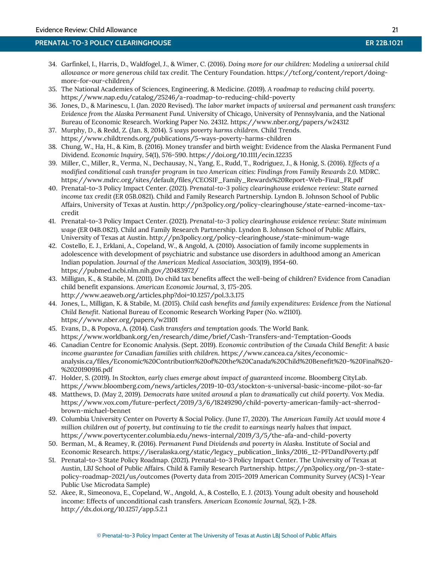- <span id="page-21-5"></span>34. Garfinkel, I., Harris, D., Waldfogel, J., & Wimer, C. (2016). *Doing more for our children: Modeling a universal child allowance or more generous child tax credit.* The Century Foundation. https://tcf.org/content/report/doingmore-for-our-children/
- <span id="page-21-0"></span>35. The National Academies of Sciences, Engineering, & Medicine. (2019). *A roadmap to reducing child poverty.*  https://www.nap.edu/catalog/25246/a-roadmap-to-reducing-child-poverty
- <span id="page-21-7"></span>36. Jones, D., & Marinescu, I. (Jan. 2020 Revised). *The labor market impacts of universal and permanent cash transfers: Evidence from the Alaska Permanent Fund.* University of Chicago, University of Pennsylvania, and the National Bureau of Economic Research. Working Paper No. 24312. https://www.nber.org/papers/w24312
- <span id="page-21-14"></span>37. Murphy, D., & Redd, Z. (Jan. 8, 2014). *5 ways poverty harms children.* Child Trends. https://www.childtrends.org/publications/5-ways-poverty-harms-children
- <span id="page-21-11"></span>38. Chung, W., Ha, H., & Kim, B. (2016). Money transfer and birth weight: Evidence from the Alaska Permanent Fund Dividend. *Economic Inquiry, 54*(1), 576-590. https://doi.org/10.1111/ecin.12235
- <span id="page-21-1"></span>39. Miller, C., Miller, R., Verma, N., Dechausay, N., Yang, E., Rudd, T., Rodriguez, J., & Honig, S. (2016). *Effects of a modified conditional cash transfer program in two American cities: Findings from Family Rewards 2.0.* MDRC. https://www.mdrc.org/sites/default/files/CEOSIF\_Family\_Rewards%20Report-Web-Final\_FR.pdf
- <span id="page-21-12"></span>40. Prenatal-to-3 Policy Impact Center. (2021). *Prenatal-to-3 policy clearinghouse evidence review: State earned income tax credit* (ER 05B.0821). Child and Family Research Partnership. Lyndon B. Johnson School of Public Affairs, University of Texas at Austin. http://pn3policy.org/policy-clearinghouse/state-earned-income-taxcredit
- <span id="page-21-13"></span>41. Prenatal-to-3 Policy Impact Center. (2021). *Prenatal-to-3 policy clearinghouse evidence review: State minimum wage* (ER 04B.0821). Child and Family Research Partnership. Lyndon B. Johnson School of Public Affairs, University of Texas at Austin. http://pn3policy.org/policy-clearinghouse/state-minimum-wage
- <span id="page-21-16"></span>42. Costello, E. J., Erklani, A., Copeland, W., & Angold, A. (2010). Association of family income supplements in adolescence with development of psychiatric and substance use disorders in adulthood among an American Indian population. *Journal of the American Medical Association,* 303(19), 1954-60. https://pubmed.ncbi.nlm.nih.gov/20483972/
- <span id="page-21-4"></span>43. Milligan, K., & Stabile, M. (2011). Do child tax benefits affect the well-being of children? Evidence from Canadian child benefit expansions. *American Economic Journal, 3*, 175-205. http://www.aeaweb.org/articles.php?doi=10.1257/pol.3.3.175
- <span id="page-21-9"></span>44. Jones, L., Milligan, K. & Stabile, M. (2015). *Child cash benefits and family expenditures: Evidence from the National Child Benefit.* National Bureau of Economic Research Working Paper (No. w21101). https://www.nber.org/papers/w21101
- <span id="page-21-10"></span>45. Evans, D., & Popova, A. (2014). *Cash transfers and temptation goods.* The World Bank. https://www.worldbank.org/en/research/dime/brief/Cash-Transfers-and-Temptation-Goods
- <span id="page-21-8"></span>46. Canadian Centre for Economic Analysis. (Sept. 2019). *Economic contribution of the Canada Child Benefit: A basic income guarantee for Canadian families with children.* https://www.cancea.ca/sites/economicanalysis.ca/files/Economic%20Contribution%20of%20the%20Canada%20Child%20Benefit%20-%20Final%20- %2020190916.pdf
- <span id="page-21-17"></span>47. Holder, S. (2019). *In Stockton, early clues emerge about impact of guaranteed income.* Bloomberg CityLab. https://www.bloomberg.com/news/articles/2019-10-03/stockton-s-universal-basic-income-pilot-so-far
- 48. Matthews, D. (May 2, 2019). *Democrats have united around a plan to dramatically cut child poverty.* Vox Media. [https://www.vox.com/future-perfect/2019/3/6/18249290/child-poverty-american-family-act-sherrod](https://www.vox.com/future-perfect/2019/3/6/18249290/child-poverty-american-family-act-sherrod-brown-michael-bennet)[brown-michael-bennet](https://www.vox.com/future-perfect/2019/3/6/18249290/child-poverty-american-family-act-sherrod-brown-michael-bennet)
- <span id="page-21-6"></span>49. Columbia University Center on Poverty & Social Policy. (June 17, 2020). *The American Family Act would move 4 million children out of poverty, but continuing to tie the credit to earnings nearly halves that impact.*  <https://www.povertycenter.columbia.edu/news-internal/2019/3/5/the-afa-and-child-poverty>
- <span id="page-21-2"></span>50. Berman, M., & Reamey, R. (2016). *Permanent Fund Dividends and poverty in Alaska.* Institute of Social and Economic Research. https://iseralaska.org/static/legacy\_publication\_links/2016\_12-PFDandPoverty.pdf
- <span id="page-21-3"></span>51. Prenatal-to-3 State Policy Roadmap. (2021). Prenatal-to-3 Policy Impact Center. The University of Texas at Austin, LBJ School of Public Affairs. Child & Family Research Partnership. https://pn3policy.org/pn-3-statepolicy-roadmap-2021/us/outcomes (Poverty data from 2015-2019 American Community Survey (ACS) 1-Year Public Use Microdata Sample)
- <span id="page-21-15"></span>52. Akee, R., Simeonova, E., Copeland, W., Angold, A., & Costello, E. J. (2013). Young adult obesity and household income: Effects of unconditional cash transfers. *American Economic Journal, 5*(2), 1-28. http://dx.doi.org/10.1257/app.5.2.1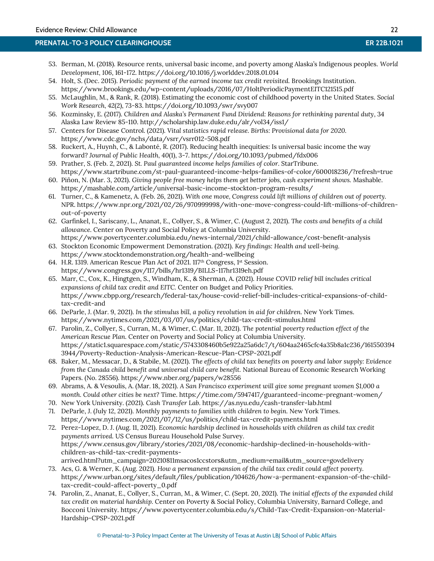- <span id="page-22-6"></span>53. Berman, M. (2018). Resource rents, universal basic income, and poverty among Alaska's Indigenous peoples. *World Development, 106*, 161-172. https://doi.org/10.1016/j.worlddev.2018.01.014
- <span id="page-22-12"></span>54. Holt, S. (Dec. 2015). *Periodic payment of the earned income tax credit revisited.* Brookings Institution. https://www.brookings.edu/wp-content/uploads/2016/07/HoltPeriodicPaymentEITC121515.pdf
- <span id="page-22-15"></span>55. McLaughlin, M., & Rank, R. (2018). Estimating the economic cost of childhood poverty in the United States. *Social Work Research, 42*(2), 73-83. https://doi.org/10.1093/swr/svy007
- <span id="page-22-7"></span>56. Kozminsky, E. (2017). *Children and Alaska's Permanent Fund Dividend: Reasons for rethinking parental duty*, 34 Alaska Law Review 85-110. http://scholarship.law.duke.edu/alr/vol34/iss1/
- <span id="page-22-9"></span>57. Centers for Disease Control. (2021). *Vital statistics rapid release. Births: Provisional data for 2020.* https://www.cdc.gov/nchs/data/vsrr/vsrr012-508.pdf
- <span id="page-22-4"></span>58. Ruckert, A., Huynh, C., & Labon[té,](javascript:;) R. (2017). Reducing health inequities: Is universal basic income the way forward? *Journal of Public Health, 40*(1), 3-7. https://doi.org/10.1093/pubmed/fdx006
- <span id="page-22-18"></span>59. Prather, S. (Feb. 2, 2021). *St. Paul guaranteed income helps families of color.* StarTribune. https://www.startribune.com/st-paul-guaranteed-income-helps-families-of-color/600018236/?refresh=true
- <span id="page-22-16"></span>60. Piñon, N. (Mar. 3, 2021). *Giving people free money helps them get better jobs, cash experiment shows.* Mashable. https://mashable.com/article/universal-basic-income-stockton-program-results/
- <span id="page-22-5"></span>61. Turner, C., & Kamenetz, A. (Feb. 26, 2021). *With one move, Congress could lift millions of children out of poverty.* NPR. https://www.npr.org/2021/02/26/970999998/with-one-move-congress-could-lift-millions-of-childrenout-of-poverty
- <span id="page-22-3"></span>62. Garfinkel, I., Sariscany, L., Ananat, E., Collyer, S., & Wimer, C. (August 2, 2021). *The costs and benefits of a child allowance.* Center on Poverty and Social Policy at Columbia University. https://www.povertycenter.columbia.edu/news-internal/2021/child-allowance/cost-benefit-analysis
- <span id="page-22-17"></span>63. Stockton Economic Empowerment Demonstration. (2021). *Key findings: Health and well-being.* https://www.stocktondemonstration.org/health-and-wellbeing
- <span id="page-22-8"></span>64. H.R. 1319. American Rescue Plan Act of 2021. 117th Congress, 1st Session. https://www.congress.gov/117/bills/hr1319/BILLS-117hr1319eh.pdf
- <span id="page-22-10"></span>65. Marr, C., Cox, K., Hingtgen, S., Windham, K., & Sherman, A. (2021). *House COVID relief bill includes critical expansions of child tax credit and EITC.* Center on Budget and Policy Priorities. https://www.cbpp.org/research/federal-tax/house-covid-relief-bill-includes-critical-expansions-of-childtax-credit-and
- <span id="page-22-11"></span>66. DeParle, J. (Mar. 9, 2021). *In the stimulus bill, a policy revolution in aid for children.* New York Times. https://www.nytimes.com/2021/03/07/us/politics/child-tax-credit-stimulus.html
- <span id="page-22-2"></span>67. Parolin, Z., Collyer, S., Curran, M., & Wimer, C. (Mar. 11, 2021). *The potential poverty reduction effect of the American Rescue Plan.* Center on Poverty and Social Policy at Columbia University. https://static1.squarespace.com/static/5743308460b5e922a25a6dc7/t/604aa2465cfc4a35b8a1c236/161550394 3944/Poverty-Reduction-Analysis-American-Rescue-Plan-CPSP-2021.pdf
- <span id="page-22-14"></span>68. Baker, M., Messacar, D., & Stabile, M. (2021). *The effects of child tax benefits on poverty and labor supply: Evidence from the Canada child benefit and universal child care benefit.* National Bureau of Economic Research Working Papers. (No. 28556).<https://www.nber.org/papers/w28556>
- <span id="page-22-19"></span>69. Abrams, A. & Vesoulis, A. (Mar. 18, 2021). *A San Francisco experiment will give some pregnant women \$1,000 a month. Could other cities be next?* Time.<https://time.com/5947417/guaranteed-income-pregnant-women/>
- <span id="page-22-20"></span>70. New York University. (2021). *Cash Transfer Lab.* <https://as.nyu.edu/cash-transfer-lab.html>
- 71. DeParle, J. (July 12, 2021). *Monthly payments to families with children to begin.* New York Times. <https://www.nytimes.com/2021/07/12/us/politics/child-tax-credit-payments.html>
- <span id="page-22-0"></span>72. Perez-Lopez, D. J. (Aug. 11, 2021). *Economic hardship declined in households with children as child tax credit payments arrived.* US Census Bureau Household Pulse Survey. [https://www.census.gov/library/stories/2021/08/economic-hardship-declined-in-households-with](https://www.census.gov/library/stories/2021/08/economic-hardship-declined-in-households-with-children-as-child-tax-credit-payments-arrived.html?utm_campaign=20210811msacos1ccstors&utm_medium=email&utm_source=govdelivery)[children-as-child-tax-credit-payments](https://www.census.gov/library/stories/2021/08/economic-hardship-declined-in-households-with-children-as-child-tax-credit-payments-arrived.html?utm_campaign=20210811msacos1ccstors&utm_medium=email&utm_source=govdelivery)[arrived.html?utm\\_campaign=20210811msacos1ccstors&utm\\_medium=email&utm\\_source=govdelivery](https://www.census.gov/library/stories/2021/08/economic-hardship-declined-in-households-with-children-as-child-tax-credit-payments-arrived.html?utm_campaign=20210811msacos1ccstors&utm_medium=email&utm_source=govdelivery)
- <span id="page-22-13"></span>73. Acs, G. & Werner, K. (Aug. 2021). *How a permanent expansion of the child tax credit could affect poverty.*  [https://www.urban.org/sites/default/files/publication/104626/how-a-permanent-expansion-of-the-child](https://www.urban.org/sites/default/files/publication/104626/how-a-permanent-expansion-of-the-child-tax-credit-could-affect-poverty_0.pdf)[tax-credit-could-affect-poverty\\_0.pdf](https://www.urban.org/sites/default/files/publication/104626/how-a-permanent-expansion-of-the-child-tax-credit-could-affect-poverty_0.pdf)
- <span id="page-22-1"></span>74. Parolin, Z., Ananat, E., Collyer, S., Curran, M., & Wimer, C. (Sept. 20, 2021). *The initial effects of the expanded child tax credit on material hardship.* Center on Poverty & Social Policy, Columbia University, Barnard College, and Bocconi University. [https://www.povertycenter.columbia.edu/s/Child-Tax-Credit-Expansion-on-Material-](https://www.povertycenter.columbia.edu/s/Child-Tax-Credit-Expansion-on-Material-Hardship-CPSP-2021.pdf)[Hardship-CPSP-2021.pdf](https://www.povertycenter.columbia.edu/s/Child-Tax-Credit-Expansion-on-Material-Hardship-CPSP-2021.pdf)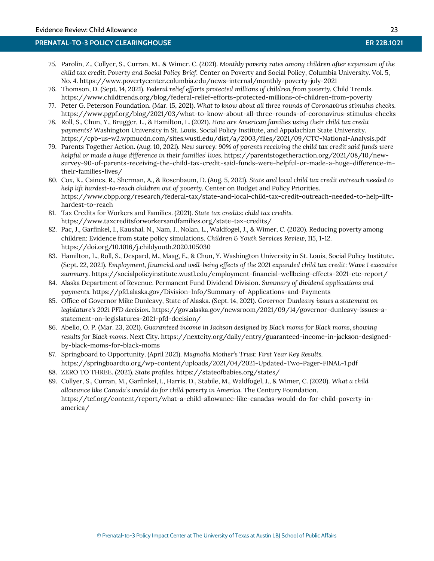- <span id="page-23-0"></span>75. Parolin, Z., Collyer, S., Curran, M., & Wimer. C. (2021). *Monthly poverty rates among children after expansion of the child tax credit. Poverty and Social Policy Brief.* Center on Poverty and Social Policy, Columbia University. Vol. 5, No. 4[. https://www.povertycenter.columbia.edu/news-internal/monthly-poverty-july-2021](https://www.povertycenter.columbia.edu/news-internal/monthly-poverty-july-2021)
- <span id="page-23-10"></span>76. Thomson, D. (Sept. 14, 2021). *Federal relief efforts protected millions of children from poverty.* Child Trends. <https://www.childtrends.org/blog/federal-relief-efforts-protected-millions-of-children-from-poverty>
- <span id="page-23-9"></span>77. Peter G. Peterson Foundation. (Mar. 15, 2021). *What to know about all three rounds of Coronavirus stimulus checks.* <https://www.pgpf.org/blog/2021/03/what-to-know-about-all-three-rounds-of-coronavirus-stimulus-checks>
- <span id="page-23-5"></span>78. Roll, S., Chun, Y., Brugger, L., & Hamilton, L. (2021). *How are American families using their child tax credit payments?* Washington University in St. Louis, Social Policy Institute, and Appalachian State University. <https://cpb-us-w2.wpmucdn.com/sites.wustl.edu/dist/a/2003/files/2021/09/CTC-National-Analysis.pdf>
- <span id="page-23-11"></span>79. Parents Together Action. (Aug. 10, 2021). *New survey: 90% of parents receiving the child tax credit said funds were helpful or made a huge difference in their families' lives.* [https://parentstogetheraction.org/2021/08/10/new](https://parentstogetheraction.org/2021/08/10/new-survey-90-of-parents-receiving-the-child-tax-credit-said-funds-were-helpful-or-made-a-huge-difference-in-their-families-lives/)[survey-90-of-parents-receiving-the-child-tax-credit-said-funds-were-helpful-or-made-a-huge-difference-in](https://parentstogetheraction.org/2021/08/10/new-survey-90-of-parents-receiving-the-child-tax-credit-said-funds-were-helpful-or-made-a-huge-difference-in-their-families-lives/)[their-families-lives/](https://parentstogetheraction.org/2021/08/10/new-survey-90-of-parents-receiving-the-child-tax-credit-said-funds-were-helpful-or-made-a-huge-difference-in-their-families-lives/)
- <span id="page-23-6"></span>80. Cox, K., Caines, R., Sherman, A., & Rosenbaum, D. (Aug. 5, 2021). *State and local child tax credit outreach needed to help lift hardest-to-reach children out of poverty.* Center on Budget and Policy Priorities. [https://www.cbpp.org/research/federal-tax/state-and-local-child-tax-credit-outreach-needed-to-help-lift](https://www.cbpp.org/research/federal-tax/state-and-local-child-tax-credit-outreach-needed-to-help-lift-hardest-to-reach)[hardest-to-reach](https://www.cbpp.org/research/federal-tax/state-and-local-child-tax-credit-outreach-needed-to-help-lift-hardest-to-reach)
- <span id="page-23-7"></span>81. Tax Credits for Workers and Families. (2021). *State tax credits: child tax credits.* https://www.taxcreditsforworkersandfamilies.org/state-tax-credits/
- <span id="page-23-8"></span>82. Pac, J., Garfinkel, I., Kaushal, N., Nam, J., Nolan, L., Waldfogel, J., & Wimer, C. (2020). Reducing poverty among children: Evidence from state policy simulations. *Children & Youth Services Review, 115*, 1-12. <https://doi.org/10.1016/j.childyouth.2020.105030>
- <span id="page-23-4"></span>83. Hamilton, L., Roll, S., Despard, M., Maag, E., & Chun, Y. Washington University in St. Louis, Social Policy Institute. (Sept. 22, 2021). *Employment, financial and well-being effects of the 2021 expanded child tax credit: Wave 1 executive summary.* <https://socialpolicyinstitute.wustl.edu/employment-financial-wellbeing-effects-2021-ctc-report/>
- 84. Alaska Department of Revenue. Permanent Fund Dividend Division. *Summary of dividend applications and payments.* <https://pfd.alaska.gov/Division-Info/Summary-of-Applications-and-Payments>
- <span id="page-23-1"></span>85. Office of Governor Mike Dunleavy, State of Alaska. (Sept. 14, 2021). *Governor Dunleavy issues a statement on legislature's 2021 PFD decision.* [https://gov.alaska.gov/newsroom/2021/09/14/governor-dunleavy-issues-a](https://gov.alaska.gov/newsroom/2021/09/14/governor-dunleavy-issues-a-statement-on-legislatures-2021-pfd-decision/)[statement-on-legislatures-2021-pfd-decision/](https://gov.alaska.gov/newsroom/2021/09/14/governor-dunleavy-issues-a-statement-on-legislatures-2021-pfd-decision/)
- <span id="page-23-13"></span>86. Abello, O. P. (Mar. 23, 2021). *Guaranteed income in Jackson designed by Black moms for Black moms, showing results for Black moms.* Next City. https://nextcity.org/daily/entry/guaranteed-income-in-jackson-designedby-black-moms-for-black-moms
- <span id="page-23-12"></span>87. Springboard to Opportunity. (April 2021). *Magnolia Mother's Trust: First Year Key Results.*  <https://springboardto.org/wp-content/uploads/2021/04/2021-Updated-Two-Pager-FINAL-1.pdf>
- <span id="page-23-2"></span>88. ZERO TO THREE. (2021). *State profiles.* <https://stateofbabies.org/states/>
- <span id="page-23-3"></span>89. Collyer, S., Curran, M., Garfinkel, I., Harris, D., Stabile, M., Waldfogel, J., & Wimer, C. (2020). *What a child allowance like Canada's would do for child poverty in America.* The Century Foundation. https://tcf.org/content/report/what-a-child-allowance-like-canadas-would-do-for-child-poverty-inamerica/